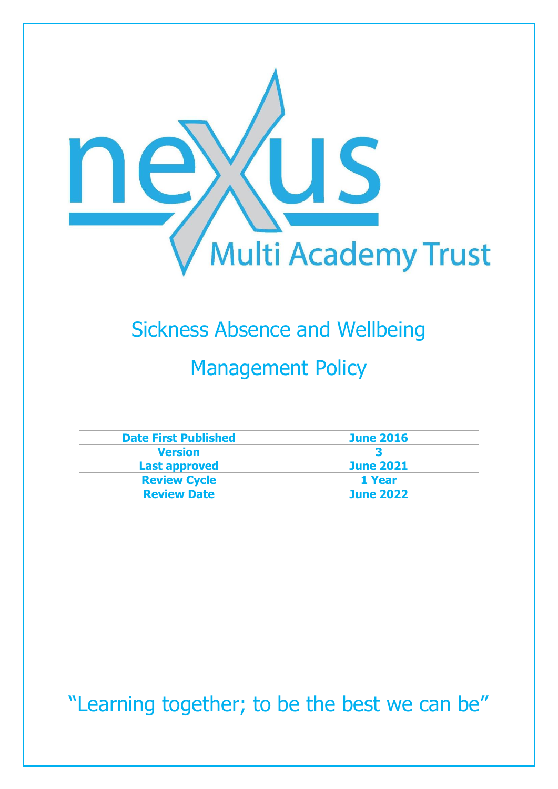

# Sickness Absence and Wellbeing Management Policy

| <b>Date First Published</b> | <b>June 2016</b> |
|-----------------------------|------------------|
| <b>Version</b>              |                  |
| <b>Last approved</b>        | <b>June 2021</b> |
| <b>Review Cycle</b>         | 1 Year           |
| <b>Review Date</b>          | <b>June 2022</b> |

"Learning together; to be the best we can be"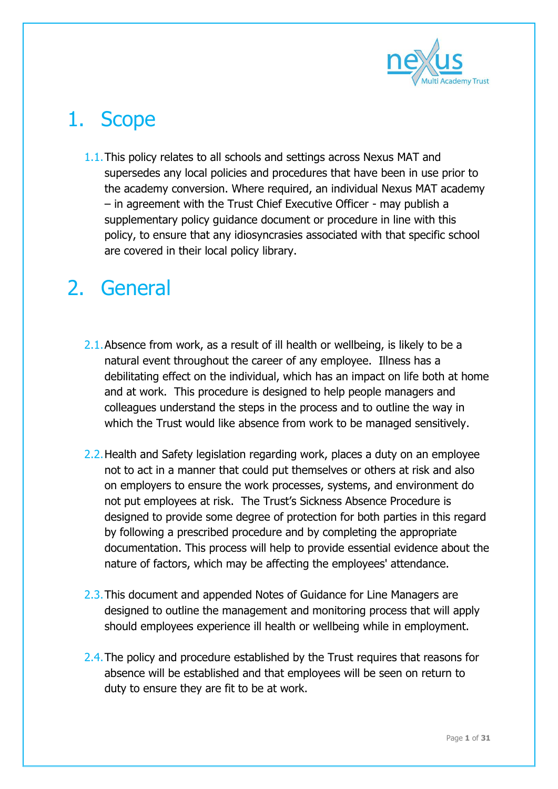

## 1. Scope

1.1.This policy relates to all schools and settings across Nexus MAT and supersedes any local policies and procedures that have been in use prior to the academy conversion. Where required, an individual Nexus MAT academy – in agreement with the Trust Chief Executive Officer - may publish a supplementary policy guidance document or procedure in line with this policy, to ensure that any idiosyncrasies associated with that specific school are covered in their local policy library.

### 2. General

- 2.1. Absence from work, as a result of ill health or wellbeing, is likely to be a natural event throughout the career of any employee. Illness has a debilitating effect on the individual, which has an impact on life both at home and at work. This procedure is designed to help people managers and colleagues understand the steps in the process and to outline the way in which the Trust would like absence from work to be managed sensitively.
- 2.2.Health and Safety legislation regarding work, places a duty on an employee not to act in a manner that could put themselves or others at risk and also on employers to ensure the work processes, systems, and environment do not put employees at risk. The Trust's Sickness Absence Procedure is designed to provide some degree of protection for both parties in this regard by following a prescribed procedure and by completing the appropriate documentation. This process will help to provide essential evidence about the nature of factors, which may be affecting the employees' attendance.
- 2.3. This document and appended Notes of Guidance for Line Managers are designed to outline the management and monitoring process that will apply should employees experience ill health or wellbeing while in employment.
- 2.4. The policy and procedure established by the Trust requires that reasons for absence will be established and that employees will be seen on return to duty to ensure they are fit to be at work.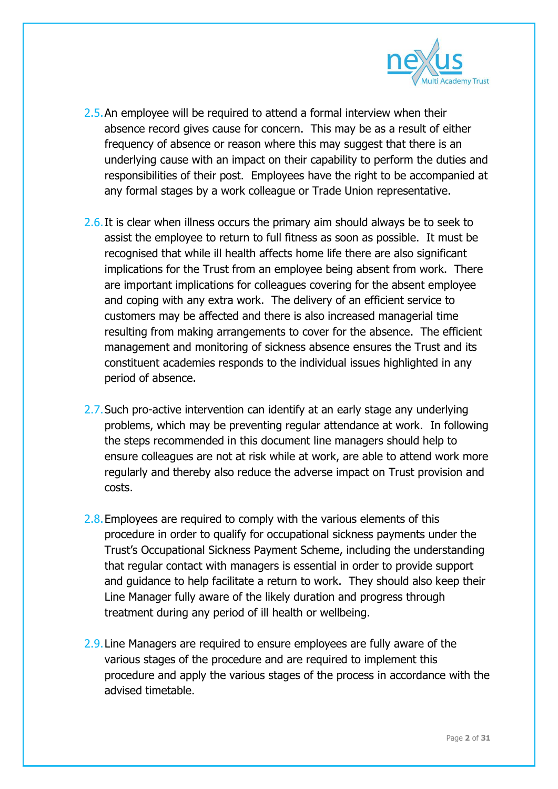

- 2.5. An employee will be required to attend a formal interview when their absence record gives cause for concern. This may be as a result of either frequency of absence or reason where this may suggest that there is an underlying cause with an impact on their capability to perform the duties and responsibilities of their post. Employees have the right to be accompanied at any formal stages by a work colleague or Trade Union representative.
- 2.6. It is clear when illness occurs the primary aim should always be to seek to assist the employee to return to full fitness as soon as possible. It must be recognised that while ill health affects home life there are also significant implications for the Trust from an employee being absent from work. There are important implications for colleagues covering for the absent employee and coping with any extra work. The delivery of an efficient service to customers may be affected and there is also increased managerial time resulting from making arrangements to cover for the absence. The efficient management and monitoring of sickness absence ensures the Trust and its constituent academies responds to the individual issues highlighted in any period of absence.
- 2.7. Such pro-active intervention can identify at an early stage any underlying problems, which may be preventing regular attendance at work. In following the steps recommended in this document line managers should help to ensure colleagues are not at risk while at work, are able to attend work more regularly and thereby also reduce the adverse impact on Trust provision and costs.
- 2.8. Employees are required to comply with the various elements of this procedure in order to qualify for occupational sickness payments under the Trust's Occupational Sickness Payment Scheme, including the understanding that regular contact with managers is essential in order to provide support and guidance to help facilitate a return to work. They should also keep their Line Manager fully aware of the likely duration and progress through treatment during any period of ill health or wellbeing.
- 2.9.Line Managers are required to ensure employees are fully aware of the various stages of the procedure and are required to implement this procedure and apply the various stages of the process in accordance with the advised timetable.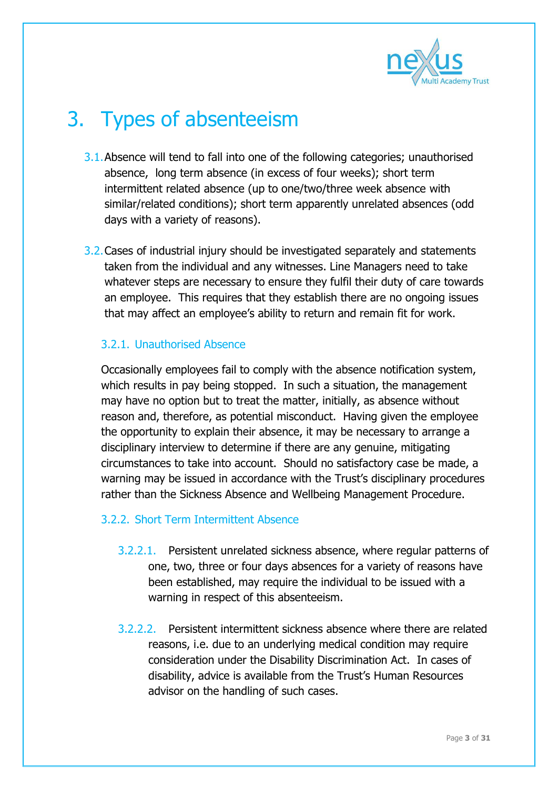

### 3. Types of absenteeism

- 3.1.Absence will tend to fall into one of the following categories; unauthorised absence, long term absence (in excess of four weeks); short term intermittent related absence (up to one/two/three week absence with similar/related conditions); short term apparently unrelated absences (odd days with a variety of reasons).
- 3.2.Cases of industrial injury should be investigated separately and statements taken from the individual and any witnesses. Line Managers need to take whatever steps are necessary to ensure they fulfil their duty of care towards an employee. This requires that they establish there are no ongoing issues that may affect an employee's ability to return and remain fit for work.

#### 3.2.1. Unauthorised Absence

Occasionally employees fail to comply with the absence notification system, which results in pay being stopped. In such a situation, the management may have no option but to treat the matter, initially, as absence without reason and, therefore, as potential misconduct. Having given the employee the opportunity to explain their absence, it may be necessary to arrange a disciplinary interview to determine if there are any genuine, mitigating circumstances to take into account. Should no satisfactory case be made, a warning may be issued in accordance with the Trust's disciplinary procedures rather than the Sickness Absence and Wellbeing Management Procedure.

#### 3.2.2. Short Term Intermittent Absence

- 3.2.2.1. Persistent unrelated sickness absence, where regular patterns of one, two, three or four days absences for a variety of reasons have been established, may require the individual to be issued with a warning in respect of this absenteeism.
- 3.2.2.2. Persistent intermittent sickness absence where there are related reasons, i.e. due to an underlying medical condition may require consideration under the Disability Discrimination Act. In cases of disability, advice is available from the Trust's Human Resources advisor on the handling of such cases.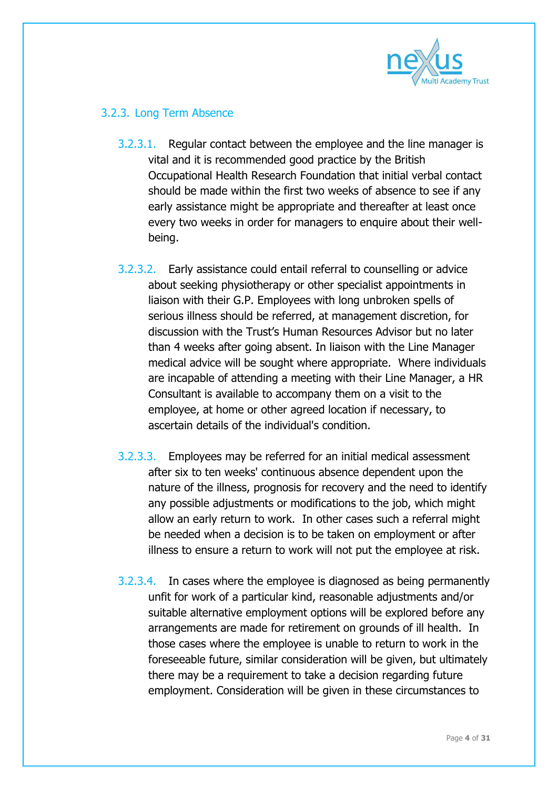

#### 3.2.3. Long Term Absence

- 3.2.3.1. Regular contact between the employee and the line manager is vital and it is recommended good practice by the British Occupational Health Research Foundation that initial verbal contact should be made within the first two weeks of absence to see if any early assistance might be appropriate and thereafter at least once every two weeks in order for managers to enquire about their wellbeing.
- 3.2.3.2. Early assistance could entail referral to counselling or advice about seeking physiotherapy or other specialist appointments in liaison with their G.P. Employees with long unbroken spells of serious illness should be referred, at management discretion, for discussion with the Trust's Human Resources Advisor but no later than 4 weeks after going absent. In liaison with the Line Manager medical advice will be sought where appropriate. Where individuals are incapable of attending a meeting with their Line Manager, a HR Consultant is available to accompany them on a visit to the employee, at home or other agreed location if necessary, to ascertain details of the individual's condition.
- 3.2.3.3. Employees may be referred for an initial medical assessment after six to ten weeks' continuous absence dependent upon the nature of the illness, prognosis for recovery and the need to identify any possible adjustments or modifications to the job, which might allow an early return to work. In other cases such a referral might be needed when a decision is to be taken on employment or after illness to ensure a return to work will not put the employee at risk.
- 3.2.3.4. In cases where the employee is diagnosed as being permanently unfit for work of a particular kind, reasonable adjustments and/or suitable alternative employment options will be explored before any arrangements are made for retirement on grounds of ill health. In those cases where the employee is unable to return to work in the foreseeable future, similar consideration will be given, but ultimately there may be a requirement to take a decision regarding future employment. Consideration will be given in these circumstances to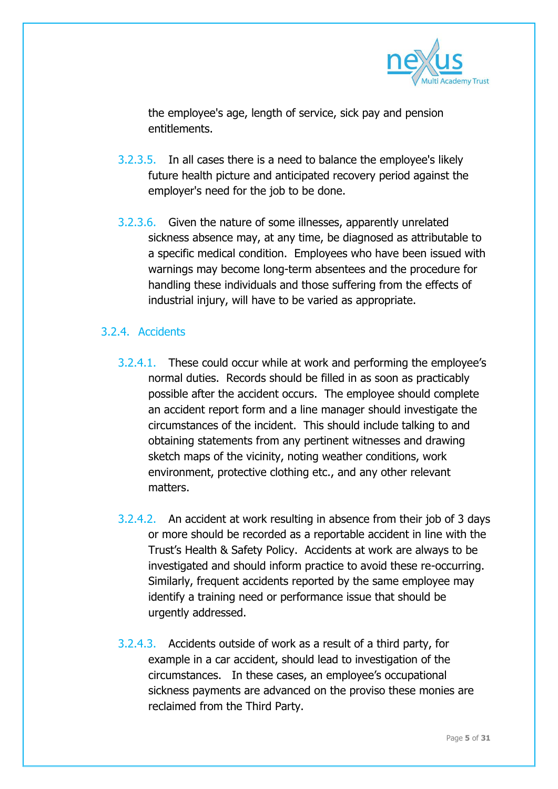

the employee's age, length of service, sick pay and pension entitlements.

- 3.2.3.5. In all cases there is a need to balance the employee's likely future health picture and anticipated recovery period against the employer's need for the job to be done.
- 3.2.3.6. Given the nature of some illnesses, apparently unrelated sickness absence may, at any time, be diagnosed as attributable to a specific medical condition. Employees who have been issued with warnings may become long-term absentees and the procedure for handling these individuals and those suffering from the effects of industrial injury, will have to be varied as appropriate.

#### 3.2.4. Accidents

- 3.2.4.1. These could occur while at work and performing the employee's normal duties. Records should be filled in as soon as practicably possible after the accident occurs. The employee should complete an accident report form and a line manager should investigate the circumstances of the incident. This should include talking to and obtaining statements from any pertinent witnesses and drawing sketch maps of the vicinity, noting weather conditions, work environment, protective clothing etc., and any other relevant matters.
- 3.2.4.2. An accident at work resulting in absence from their job of 3 days or more should be recorded as a reportable accident in line with the Trust's Health & Safety Policy. Accidents at work are always to be investigated and should inform practice to avoid these re-occurring. Similarly, frequent accidents reported by the same employee may identify a training need or performance issue that should be urgently addressed.
- 3.2.4.3. Accidents outside of work as a result of a third party, for example in a car accident, should lead to investigation of the circumstances. In these cases, an employee's occupational sickness payments are advanced on the proviso these monies are reclaimed from the Third Party.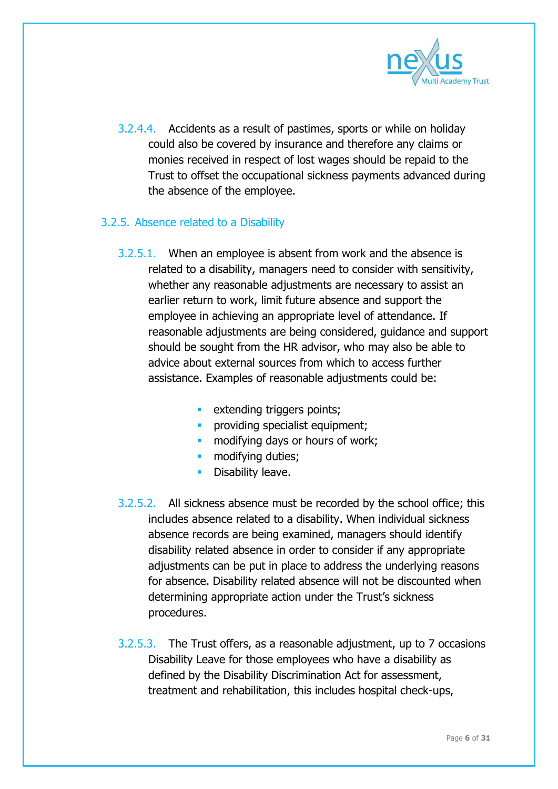

3.2.4.4. Accidents as a result of pastimes, sports or while on holiday could also be covered by insurance and therefore any claims or monies received in respect of lost wages should be repaid to the Trust to offset the occupational sickness payments advanced during the absence of the employee.

#### 3.2.5. Absence related to a Disability

- 3.2.5.1. When an employee is absent from work and the absence is related to a disability, managers need to consider with sensitivity, whether any reasonable adjustments are necessary to assist an earlier return to work, limit future absence and support the employee in achieving an appropriate level of attendance. If reasonable adjustments are being considered, guidance and support should be sought from the HR advisor, who may also be able to advice about external sources from which to access further assistance. Examples of reasonable adjustments could be:
	- **EXTENDING THE EXTENDING EXTENDING r**
	- **PEDITION IS DEPETED FOR THE PROPERT:**
	- **n** modifying days or hours of work;
	- **nodifying duties:**
	- **•** Disability leave.
- 3.2.5.2. All sickness absence must be recorded by the school office; this includes absence related to a disability. When individual sickness absence records are being examined, managers should identify disability related absence in order to consider if any appropriate adjustments can be put in place to address the underlying reasons for absence. Disability related absence will not be discounted when determining appropriate action under the Trust's sickness procedures.
- 3.2.5.3. The Trust offers, as a reasonable adjustment, up to 7 occasions Disability Leave for those employees who have a disability as defined by the Disability Discrimination Act for assessment, treatment and rehabilitation, this includes hospital check-ups,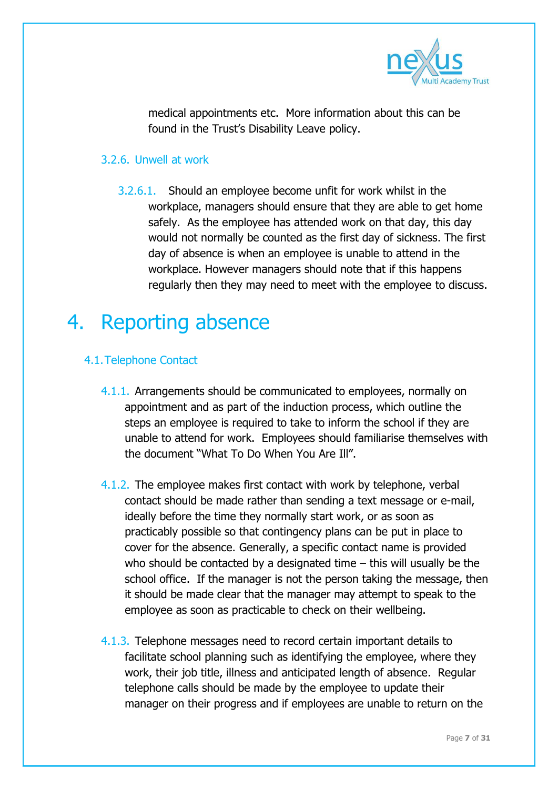

medical appointments etc. More information about this can be found in the Trust's Disability Leave policy.

#### 3.2.6. Unwell at work

3.2.6.1. Should an employee become unfit for work whilst in the workplace, managers should ensure that they are able to get home safely. As the employee has attended work on that day, this day would not normally be counted as the first day of sickness. The first day of absence is when an employee is unable to attend in the workplace. However managers should note that if this happens regularly then they may need to meet with the employee to discuss.

### 4. Reporting absence

#### 4.1.Telephone Contact

- 4.1.1. Arrangements should be communicated to employees, normally on appointment and as part of the induction process, which outline the steps an employee is required to take to inform the school if they are unable to attend for work. Employees should familiarise themselves with the document "What To Do When You Are Ill".
- 4.1.2. The employee makes first contact with work by telephone, verbal contact should be made rather than sending a text message or e-mail, ideally before the time they normally start work, or as soon as practicably possible so that contingency plans can be put in place to cover for the absence. Generally, a specific contact name is provided who should be contacted by a designated time – this will usually be the school office. If the manager is not the person taking the message, then it should be made clear that the manager may attempt to speak to the employee as soon as practicable to check on their wellbeing.
- 4.1.3. Telephone messages need to record certain important details to facilitate school planning such as identifying the employee, where they work, their job title, illness and anticipated length of absence. Regular telephone calls should be made by the employee to update their manager on their progress and if employees are unable to return on the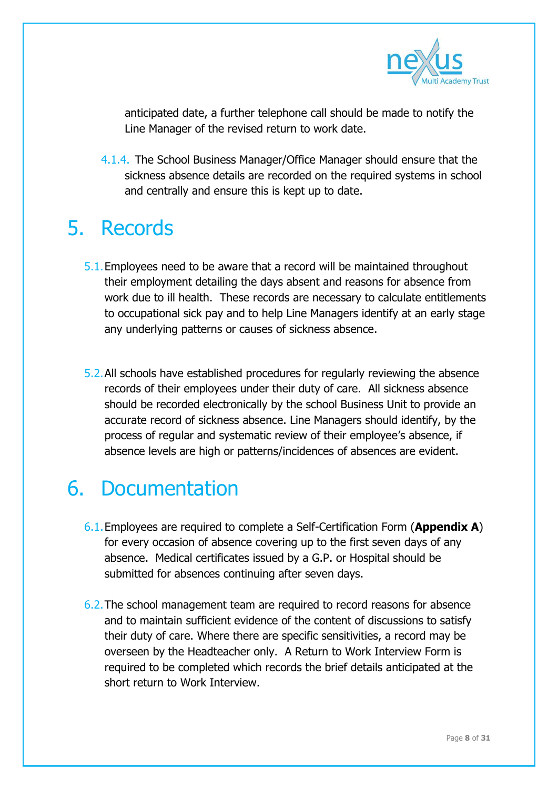

anticipated date, a further telephone call should be made to notify the Line Manager of the revised return to work date.

4.1.4. The School Business Manager/Office Manager should ensure that the sickness absence details are recorded on the required systems in school and centrally and ensure this is kept up to date.

### 5. Records

- 5.1.Employees need to be aware that a record will be maintained throughout their employment detailing the days absent and reasons for absence from work due to ill health. These records are necessary to calculate entitlements to occupational sick pay and to help Line Managers identify at an early stage any underlying patterns or causes of sickness absence.
- 5.2.All schools have established procedures for regularly reviewing the absence records of their employees under their duty of care. All sickness absence should be recorded electronically by the school Business Unit to provide an accurate record of sickness absence. Line Managers should identify, by the process of regular and systematic review of their employee's absence, if absence levels are high or patterns/incidences of absences are evident.

### 6. Documentation

- 6.1.Employees are required to complete a Self-Certification Form (**Appendix A**) for every occasion of absence covering up to the first seven days of any absence. Medical certificates issued by a G.P. or Hospital should be submitted for absences continuing after seven days.
- 6.2.The school management team are required to record reasons for absence and to maintain sufficient evidence of the content of discussions to satisfy their duty of care. Where there are specific sensitivities, a record may be overseen by the Headteacher only. A Return to Work Interview Form is required to be completed which records the brief details anticipated at the short return to Work Interview.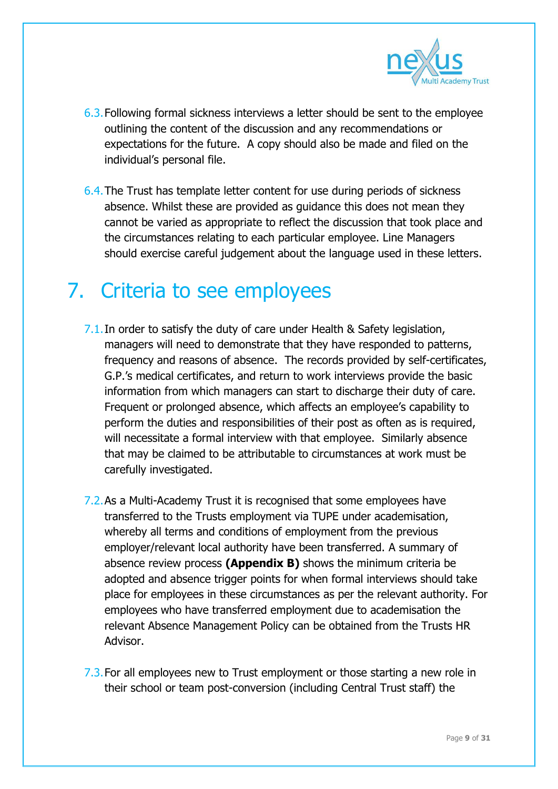

- 6.3.Following formal sickness interviews a letter should be sent to the employee outlining the content of the discussion and any recommendations or expectations for the future. A copy should also be made and filed on the individual's personal file.
- 6.4.The Trust has template letter content for use during periods of sickness absence. Whilst these are provided as guidance this does not mean they cannot be varied as appropriate to reflect the discussion that took place and the circumstances relating to each particular employee. Line Managers should exercise careful judgement about the language used in these letters.

### 7. Criteria to see employees

- 7.1. In order to satisfy the duty of care under Health & Safety legislation, managers will need to demonstrate that they have responded to patterns, frequency and reasons of absence. The records provided by self-certificates, G.P.'s medical certificates, and return to work interviews provide the basic information from which managers can start to discharge their duty of care. Frequent or prolonged absence, which affects an employee's capability to perform the duties and responsibilities of their post as often as is required, will necessitate a formal interview with that employee. Similarly absence that may be claimed to be attributable to circumstances at work must be carefully investigated.
- 7.2.As a Multi-Academy Trust it is recognised that some employees have transferred to the Trusts employment via TUPE under academisation, whereby all terms and conditions of employment from the previous employer/relevant local authority have been transferred. A summary of absence review process **(Appendix B)** shows the minimum criteria be adopted and absence trigger points for when formal interviews should take place for employees in these circumstances as per the relevant authority. For employees who have transferred employment due to academisation the relevant Absence Management Policy can be obtained from the Trusts HR Advisor.
- 7.3. For all employees new to Trust employment or those starting a new role in their school or team post-conversion (including Central Trust staff) the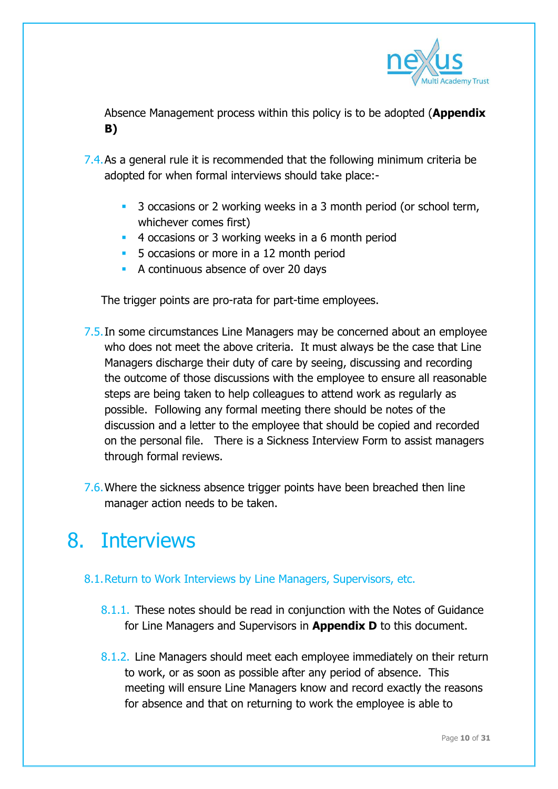

Absence Management process within this policy is to be adopted (**Appendix B)**

- 7.4.As a general rule it is recommended that the following minimum criteria be adopted for when formal interviews should take place:-
	- <sup>3</sup> 3 occasions or 2 working weeks in a 3 month period (or school term, whichever comes first)
	- <sup>4</sup> 4 occasions or 3 working weeks in a 6 month period
	- **5** occasions or more in a 12 month period
	- A continuous absence of over 20 days

The trigger points are pro-rata for part-time employees.

- 7.5.In some circumstances Line Managers may be concerned about an employee who does not meet the above criteria. It must always be the case that Line Managers discharge their duty of care by seeing, discussing and recording the outcome of those discussions with the employee to ensure all reasonable steps are being taken to help colleagues to attend work as regularly as possible. Following any formal meeting there should be notes of the discussion and a letter to the employee that should be copied and recorded on the personal file. There is a Sickness Interview Form to assist managers through formal reviews.
- 7.6. Where the sickness absence trigger points have been breached then line manager action needs to be taken.

### 8. Interviews

- 8.1.Return to Work Interviews by Line Managers, Supervisors, etc.
	- 8.1.1. These notes should be read in conjunction with the Notes of Guidance for Line Managers and Supervisors in **Appendix D** to this document.
	- 8.1.2. Line Managers should meet each employee immediately on their return to work, or as soon as possible after any period of absence. This meeting will ensure Line Managers know and record exactly the reasons for absence and that on returning to work the employee is able to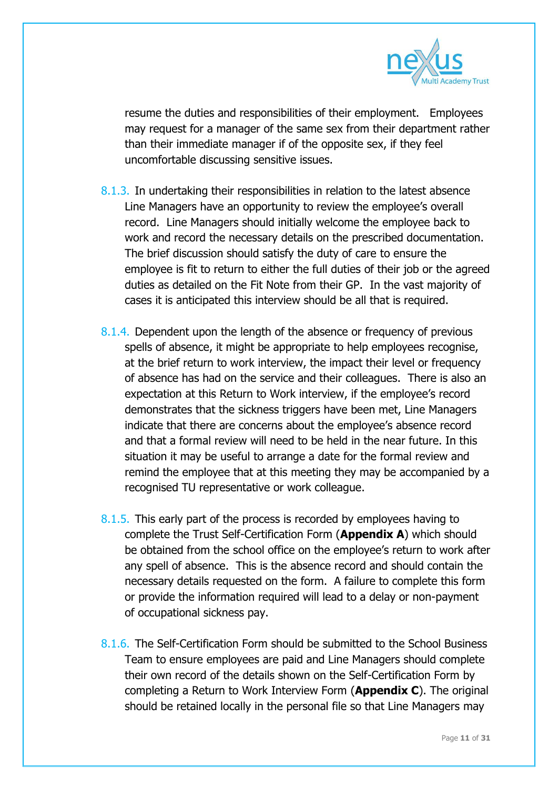

resume the duties and responsibilities of their employment. Employees may request for a manager of the same sex from their department rather than their immediate manager if of the opposite sex, if they feel uncomfortable discussing sensitive issues.

- 8.1.3. In undertaking their responsibilities in relation to the latest absence Line Managers have an opportunity to review the employee's overall record. Line Managers should initially welcome the employee back to work and record the necessary details on the prescribed documentation. The brief discussion should satisfy the duty of care to ensure the employee is fit to return to either the full duties of their job or the agreed duties as detailed on the Fit Note from their GP. In the vast majority of cases it is anticipated this interview should be all that is required.
- 8.1.4. Dependent upon the length of the absence or frequency of previous spells of absence, it might be appropriate to help employees recognise, at the brief return to work interview, the impact their level or frequency of absence has had on the service and their colleagues. There is also an expectation at this Return to Work interview, if the employee's record demonstrates that the sickness triggers have been met, Line Managers indicate that there are concerns about the employee's absence record and that a formal review will need to be held in the near future. In this situation it may be useful to arrange a date for the formal review and remind the employee that at this meeting they may be accompanied by a recognised TU representative or work colleague.
- 8.1.5. This early part of the process is recorded by employees having to complete the Trust Self-Certification Form (**Appendix A**) which should be obtained from the school office on the employee's return to work after any spell of absence. This is the absence record and should contain the necessary details requested on the form. A failure to complete this form or provide the information required will lead to a delay or non-payment of occupational sickness pay.
- 8.1.6. The Self-Certification Form should be submitted to the School Business Team to ensure employees are paid and Line Managers should complete their own record of the details shown on the Self-Certification Form by completing a Return to Work Interview Form (**Appendix C**). The original should be retained locally in the personal file so that Line Managers may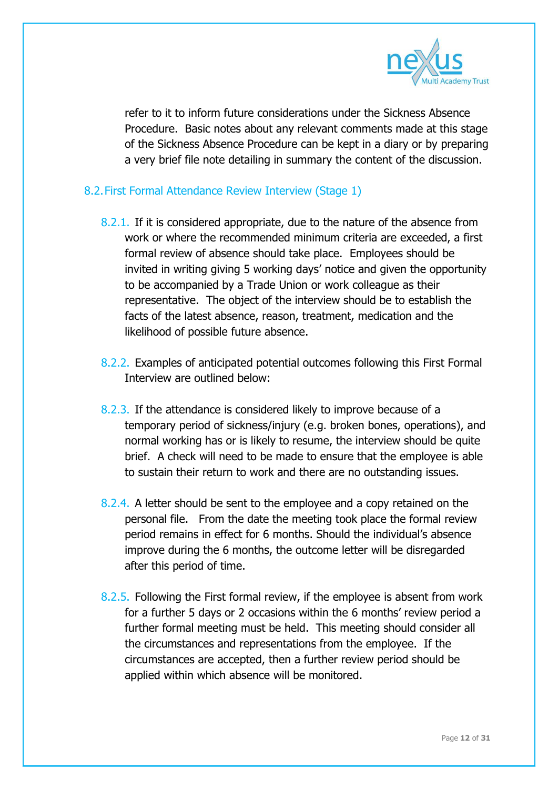

refer to it to inform future considerations under the Sickness Absence Procedure. Basic notes about any relevant comments made at this stage of the Sickness Absence Procedure can be kept in a diary or by preparing a very brief file note detailing in summary the content of the discussion.

#### 8.2.First Formal Attendance Review Interview (Stage 1)

- 8.2.1. If it is considered appropriate, due to the nature of the absence from work or where the recommended minimum criteria are exceeded, a first formal review of absence should take place. Employees should be invited in writing giving 5 working days' notice and given the opportunity to be accompanied by a Trade Union or work colleague as their representative. The object of the interview should be to establish the facts of the latest absence, reason, treatment, medication and the likelihood of possible future absence.
- 8.2.2. Examples of anticipated potential outcomes following this First Formal Interview are outlined below:
- 8.2.3. If the attendance is considered likely to improve because of a temporary period of sickness/injury (e.g. broken bones, operations), and normal working has or is likely to resume, the interview should be quite brief. A check will need to be made to ensure that the employee is able to sustain their return to work and there are no outstanding issues.
- 8.2.4. A letter should be sent to the employee and a copy retained on the personal file. From the date the meeting took place the formal review period remains in effect for 6 months. Should the individual's absence improve during the 6 months, the outcome letter will be disregarded after this period of time.
- 8.2.5. Following the First formal review, if the employee is absent from work for a further 5 days or 2 occasions within the 6 months' review period a further formal meeting must be held. This meeting should consider all the circumstances and representations from the employee. If the circumstances are accepted, then a further review period should be applied within which absence will be monitored.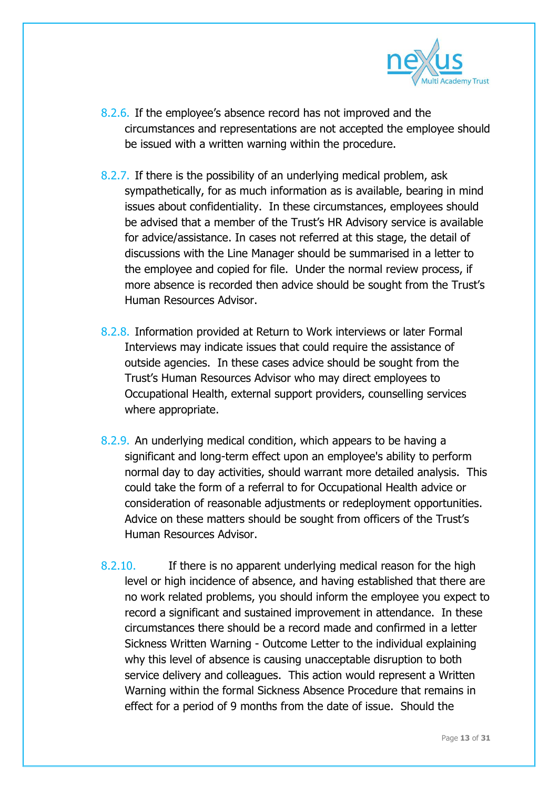

- 8.2.6. If the employee's absence record has not improved and the circumstances and representations are not accepted the employee should be issued with a written warning within the procedure.
- 8.2.7. If there is the possibility of an underlying medical problem, ask sympathetically, for as much information as is available, bearing in mind issues about confidentiality. In these circumstances, employees should be advised that a member of the Trust's HR Advisory service is available for advice/assistance. In cases not referred at this stage, the detail of discussions with the Line Manager should be summarised in a letter to the employee and copied for file. Under the normal review process, if more absence is recorded then advice should be sought from the Trust's Human Resources Advisor.
- 8.2.8. Information provided at Return to Work interviews or later Formal Interviews may indicate issues that could require the assistance of outside agencies. In these cases advice should be sought from the Trust's Human Resources Advisor who may direct employees to Occupational Health, external support providers, counselling services where appropriate.
- 8.2.9. An underlying medical condition, which appears to be having a significant and long-term effect upon an employee's ability to perform normal day to day activities, should warrant more detailed analysis. This could take the form of a referral to for Occupational Health advice or consideration of reasonable adjustments or redeployment opportunities. Advice on these matters should be sought from officers of the Trust's Human Resources Advisor.
- 8.2.10. If there is no apparent underlying medical reason for the high level or high incidence of absence, and having established that there are no work related problems, you should inform the employee you expect to record a significant and sustained improvement in attendance. In these circumstances there should be a record made and confirmed in a letter Sickness Written Warning - Outcome Letter to the individual explaining why this level of absence is causing unacceptable disruption to both service delivery and colleagues. This action would represent a Written Warning within the formal Sickness Absence Procedure that remains in effect for a period of 9 months from the date of issue. Should the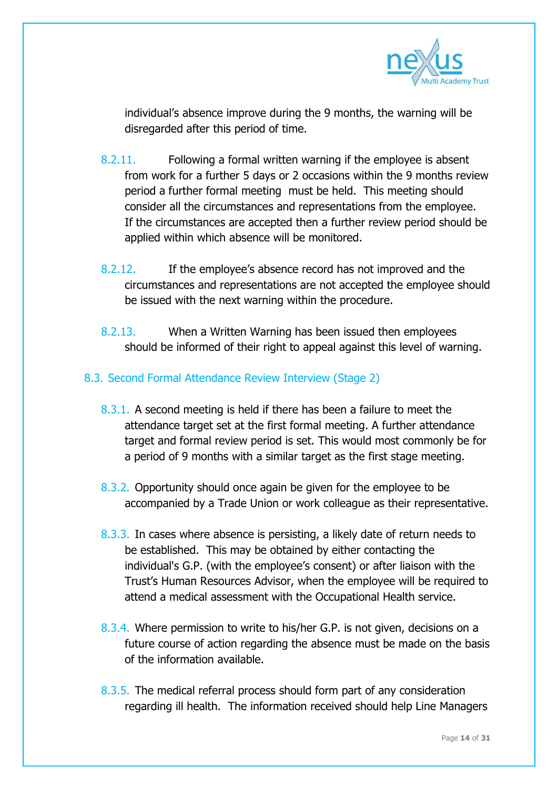

individual's absence improve during the 9 months, the warning will be disregarded after this period of time.

- 8.2.11. Following a formal written warning if the employee is absent from work for a further 5 days or 2 occasions within the 9 months review period a further formal meeting must be held. This meeting should consider all the circumstances and representations from the employee. If the circumstances are accepted then a further review period should be applied within which absence will be monitored.
- 8.2.12. If the employee's absence record has not improved and the circumstances and representations are not accepted the employee should be issued with the next warning within the procedure.
- 8.2.13. When a Written Warning has been issued then employees should be informed of their right to appeal against this level of warning.

#### 8.3. Second Formal Attendance Review Interview (Stage 2)

- 8.3.1. A second meeting is held if there has been a failure to meet the attendance target set at the first formal meeting. A further attendance target and formal review period is set. This would most commonly be for a period of 9 months with a similar target as the first stage meeting.
- 8.3.2. Opportunity should once again be given for the employee to be accompanied by a Trade Union or work colleague as their representative.
- 8.3.3. In cases where absence is persisting, a likely date of return needs to be established. This may be obtained by either contacting the individual's G.P. (with the employee's consent) or after liaison with the Trust's Human Resources Advisor, when the employee will be required to attend a medical assessment with the Occupational Health service.
- 8.3.4. Where permission to write to his/her G.P. is not given, decisions on a future course of action regarding the absence must be made on the basis of the information available.
- 8.3.5. The medical referral process should form part of any consideration regarding ill health. The information received should help Line Managers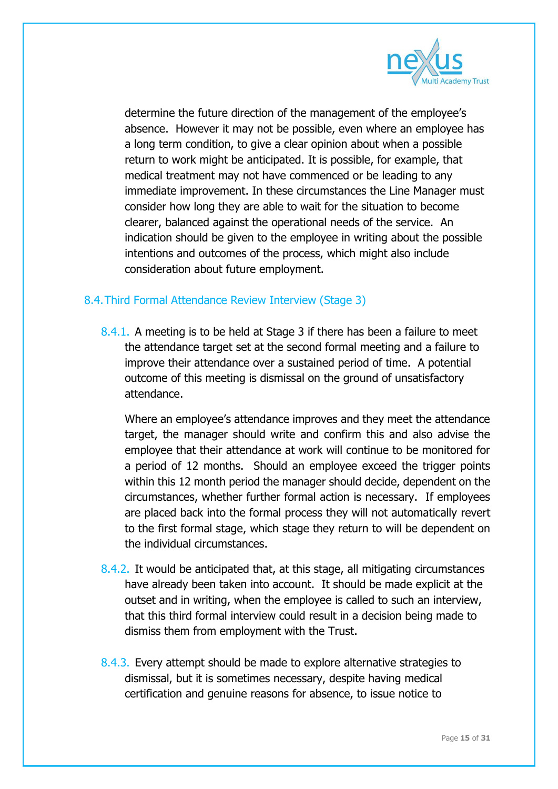

determine the future direction of the management of the employee's absence. However it may not be possible, even where an employee has a long term condition, to give a clear opinion about when a possible return to work might be anticipated. It is possible, for example, that medical treatment may not have commenced or be leading to any immediate improvement. In these circumstances the Line Manager must consider how long they are able to wait for the situation to become clearer, balanced against the operational needs of the service. An indication should be given to the employee in writing about the possible intentions and outcomes of the process, which might also include consideration about future employment.

#### 8.4.Third Formal Attendance Review Interview (Stage 3)

8.4.1. A meeting is to be held at Stage 3 if there has been a failure to meet the attendance target set at the second formal meeting and a failure to improve their attendance over a sustained period of time. A potential outcome of this meeting is dismissal on the ground of unsatisfactory attendance.

Where an employee's attendance improves and they meet the attendance target, the manager should write and confirm this and also advise the employee that their attendance at work will continue to be monitored for a period of 12 months. Should an employee exceed the trigger points within this 12 month period the manager should decide, dependent on the circumstances, whether further formal action is necessary. If employees are placed back into the formal process they will not automatically revert to the first formal stage, which stage they return to will be dependent on the individual circumstances.

- 8.4.2. It would be anticipated that, at this stage, all mitigating circumstances have already been taken into account. It should be made explicit at the outset and in writing, when the employee is called to such an interview, that this third formal interview could result in a decision being made to dismiss them from employment with the Trust.
- 8.4.3. Every attempt should be made to explore alternative strategies to dismissal, but it is sometimes necessary, despite having medical certification and genuine reasons for absence, to issue notice to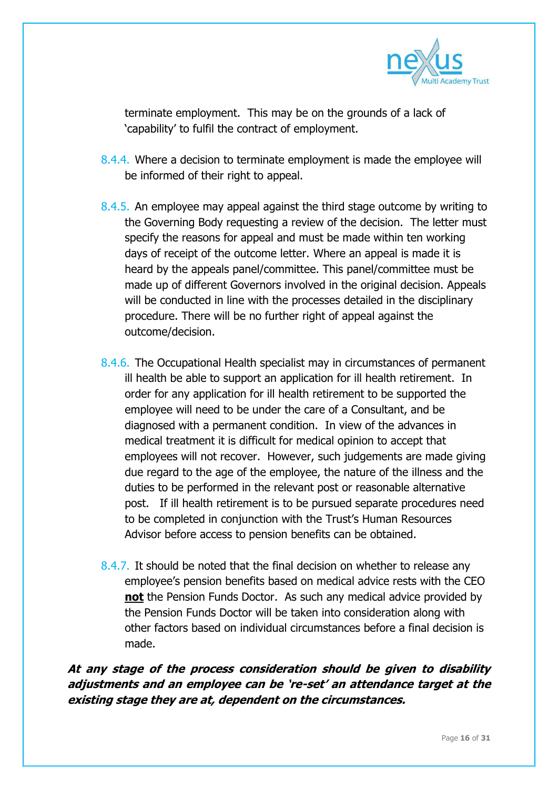

terminate employment. This may be on the grounds of a lack of 'capability' to fulfil the contract of employment.

- 8.4.4. Where a decision to terminate employment is made the employee will be informed of their right to appeal.
- 8.4.5. An employee may appeal against the third stage outcome by writing to the Governing Body requesting a review of the decision. The letter must specify the reasons for appeal and must be made within ten working days of receipt of the outcome letter. Where an appeal is made it is heard by the appeals panel/committee. This panel/committee must be made up of different Governors involved in the original decision. Appeals will be conducted in line with the processes detailed in the disciplinary procedure. There will be no further right of appeal against the outcome/decision.
- 8.4.6. The Occupational Health specialist may in circumstances of permanent ill health be able to support an application for ill health retirement. In order for any application for ill health retirement to be supported the employee will need to be under the care of a Consultant, and be diagnosed with a permanent condition. In view of the advances in medical treatment it is difficult for medical opinion to accept that employees will not recover. However, such judgements are made giving due regard to the age of the employee, the nature of the illness and the duties to be performed in the relevant post or reasonable alternative post. If ill health retirement is to be pursued separate procedures need to be completed in conjunction with the Trust's Human Resources Advisor before access to pension benefits can be obtained.
- 8.4.7. It should be noted that the final decision on whether to release any employee's pension benefits based on medical advice rests with the CEO **not** the Pension Funds Doctor. As such any medical advice provided by the Pension Funds Doctor will be taken into consideration along with other factors based on individual circumstances before a final decision is made.

**At any stage of the process consideration should be given to disability adjustments and an employee can be 're-set' an attendance target at the existing stage they are at, dependent on the circumstances.**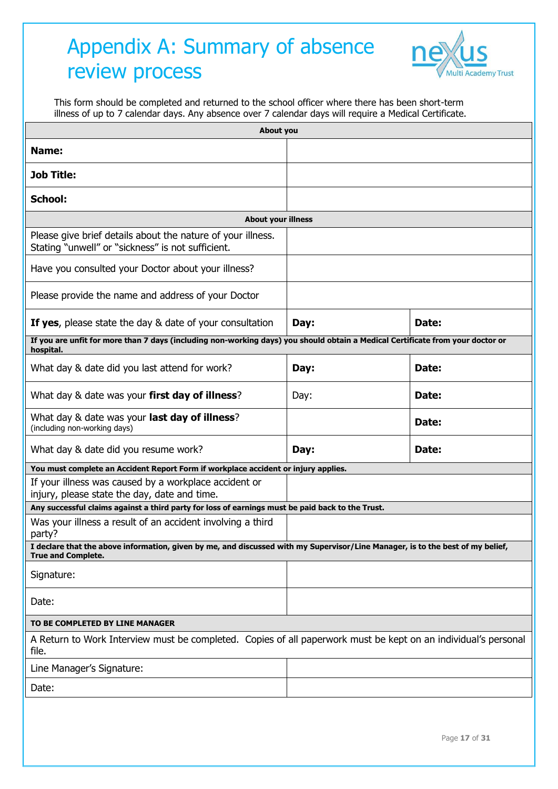### Appendix A: Summary of absence review process



This form should be completed and returned to the school officer where there has been short-term illness of up to 7 calendar days. Any absence over 7 calendar days will require a Medical Certificate.

| Name:<br><b>Job Title:</b><br>School:<br><b>About your illness</b><br>Please give brief details about the nature of your illness.<br>Stating "unwell" or "sickness" is not sufficient.<br>Have you consulted your Doctor about your illness?<br>Please provide the name and address of your Doctor<br><b>If yes,</b> please state the day & date of your consultation<br>Date:<br>Day:<br>If you are unfit for more than 7 days (including non-working days) you should obtain a Medical Certificate from your doctor or<br>hospital.<br>What day & date did you last attend for work?<br>Date:<br>Day:<br>What day & date was your first day of illness?<br>Date:<br>Day:<br>What day & date was your last day of illness?<br>Date:<br>(including non-working days)<br>What day & date did you resume work?<br>Date:<br>Day:<br>You must complete an Accident Report Form if workplace accident or injury applies.<br>If your illness was caused by a workplace accident or<br>injury, please state the day, date and time.<br>Any successful claims against a third party for loss of earnings must be paid back to the Trust.<br>Was your illness a result of an accident involving a third<br>party?<br>I declare that the above information, given by me, and discussed with my Supervisor/Line Manager, is to the best of my belief,<br><b>True and Complete.</b> | About you |  |  |  |
|-------------------------------------------------------------------------------------------------------------------------------------------------------------------------------------------------------------------------------------------------------------------------------------------------------------------------------------------------------------------------------------------------------------------------------------------------------------------------------------------------------------------------------------------------------------------------------------------------------------------------------------------------------------------------------------------------------------------------------------------------------------------------------------------------------------------------------------------------------------------------------------------------------------------------------------------------------------------------------------------------------------------------------------------------------------------------------------------------------------------------------------------------------------------------------------------------------------------------------------------------------------------------------------------------------------------------------------------------------------------------|-----------|--|--|--|
|                                                                                                                                                                                                                                                                                                                                                                                                                                                                                                                                                                                                                                                                                                                                                                                                                                                                                                                                                                                                                                                                                                                                                                                                                                                                                                                                                                         |           |  |  |  |
|                                                                                                                                                                                                                                                                                                                                                                                                                                                                                                                                                                                                                                                                                                                                                                                                                                                                                                                                                                                                                                                                                                                                                                                                                                                                                                                                                                         |           |  |  |  |
|                                                                                                                                                                                                                                                                                                                                                                                                                                                                                                                                                                                                                                                                                                                                                                                                                                                                                                                                                                                                                                                                                                                                                                                                                                                                                                                                                                         |           |  |  |  |
|                                                                                                                                                                                                                                                                                                                                                                                                                                                                                                                                                                                                                                                                                                                                                                                                                                                                                                                                                                                                                                                                                                                                                                                                                                                                                                                                                                         |           |  |  |  |
|                                                                                                                                                                                                                                                                                                                                                                                                                                                                                                                                                                                                                                                                                                                                                                                                                                                                                                                                                                                                                                                                                                                                                                                                                                                                                                                                                                         |           |  |  |  |
|                                                                                                                                                                                                                                                                                                                                                                                                                                                                                                                                                                                                                                                                                                                                                                                                                                                                                                                                                                                                                                                                                                                                                                                                                                                                                                                                                                         |           |  |  |  |
|                                                                                                                                                                                                                                                                                                                                                                                                                                                                                                                                                                                                                                                                                                                                                                                                                                                                                                                                                                                                                                                                                                                                                                                                                                                                                                                                                                         |           |  |  |  |
|                                                                                                                                                                                                                                                                                                                                                                                                                                                                                                                                                                                                                                                                                                                                                                                                                                                                                                                                                                                                                                                                                                                                                                                                                                                                                                                                                                         |           |  |  |  |
|                                                                                                                                                                                                                                                                                                                                                                                                                                                                                                                                                                                                                                                                                                                                                                                                                                                                                                                                                                                                                                                                                                                                                                                                                                                                                                                                                                         |           |  |  |  |
|                                                                                                                                                                                                                                                                                                                                                                                                                                                                                                                                                                                                                                                                                                                                                                                                                                                                                                                                                                                                                                                                                                                                                                                                                                                                                                                                                                         |           |  |  |  |
|                                                                                                                                                                                                                                                                                                                                                                                                                                                                                                                                                                                                                                                                                                                                                                                                                                                                                                                                                                                                                                                                                                                                                                                                                                                                                                                                                                         |           |  |  |  |
|                                                                                                                                                                                                                                                                                                                                                                                                                                                                                                                                                                                                                                                                                                                                                                                                                                                                                                                                                                                                                                                                                                                                                                                                                                                                                                                                                                         |           |  |  |  |
|                                                                                                                                                                                                                                                                                                                                                                                                                                                                                                                                                                                                                                                                                                                                                                                                                                                                                                                                                                                                                                                                                                                                                                                                                                                                                                                                                                         |           |  |  |  |
|                                                                                                                                                                                                                                                                                                                                                                                                                                                                                                                                                                                                                                                                                                                                                                                                                                                                                                                                                                                                                                                                                                                                                                                                                                                                                                                                                                         |           |  |  |  |
|                                                                                                                                                                                                                                                                                                                                                                                                                                                                                                                                                                                                                                                                                                                                                                                                                                                                                                                                                                                                                                                                                                                                                                                                                                                                                                                                                                         |           |  |  |  |
|                                                                                                                                                                                                                                                                                                                                                                                                                                                                                                                                                                                                                                                                                                                                                                                                                                                                                                                                                                                                                                                                                                                                                                                                                                                                                                                                                                         |           |  |  |  |
|                                                                                                                                                                                                                                                                                                                                                                                                                                                                                                                                                                                                                                                                                                                                                                                                                                                                                                                                                                                                                                                                                                                                                                                                                                                                                                                                                                         |           |  |  |  |
|                                                                                                                                                                                                                                                                                                                                                                                                                                                                                                                                                                                                                                                                                                                                                                                                                                                                                                                                                                                                                                                                                                                                                                                                                                                                                                                                                                         |           |  |  |  |
| Signature:                                                                                                                                                                                                                                                                                                                                                                                                                                                                                                                                                                                                                                                                                                                                                                                                                                                                                                                                                                                                                                                                                                                                                                                                                                                                                                                                                              |           |  |  |  |
| Date:                                                                                                                                                                                                                                                                                                                                                                                                                                                                                                                                                                                                                                                                                                                                                                                                                                                                                                                                                                                                                                                                                                                                                                                                                                                                                                                                                                   |           |  |  |  |
| TO BE COMPLETED BY LINE MANAGER                                                                                                                                                                                                                                                                                                                                                                                                                                                                                                                                                                                                                                                                                                                                                                                                                                                                                                                                                                                                                                                                                                                                                                                                                                                                                                                                         |           |  |  |  |
| A Return to Work Interview must be completed. Copies of all paperwork must be kept on an individual's personal<br>file.                                                                                                                                                                                                                                                                                                                                                                                                                                                                                                                                                                                                                                                                                                                                                                                                                                                                                                                                                                                                                                                                                                                                                                                                                                                 |           |  |  |  |
| Line Manager's Signature:                                                                                                                                                                                                                                                                                                                                                                                                                                                                                                                                                                                                                                                                                                                                                                                                                                                                                                                                                                                                                                                                                                                                                                                                                                                                                                                                               |           |  |  |  |
| Date:                                                                                                                                                                                                                                                                                                                                                                                                                                                                                                                                                                                                                                                                                                                                                                                                                                                                                                                                                                                                                                                                                                                                                                                                                                                                                                                                                                   |           |  |  |  |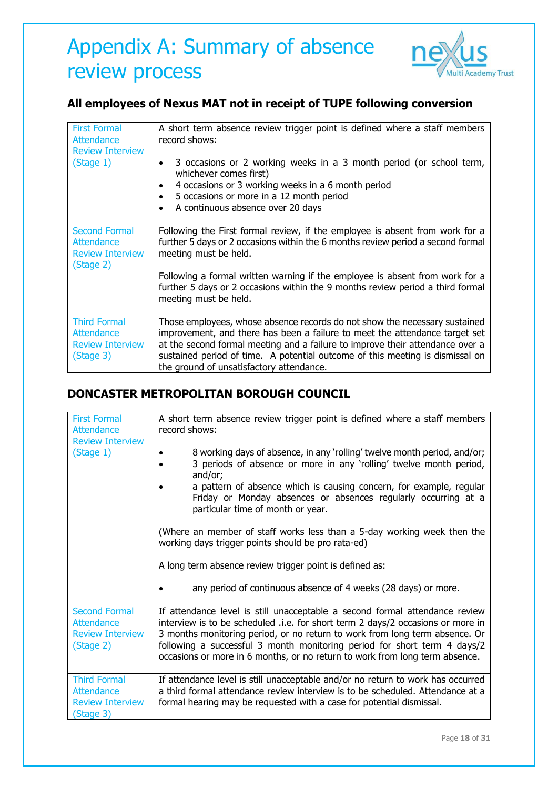### Appendix A: Summary of absence review process



#### **All employees of Nexus MAT not in receipt of TUPE following conversion**

| <b>First Formal</b><br>Attendance<br><b>Review Interview</b><br>(Stage 1)  | A short term absence review trigger point is defined where a staff members<br>record shows:<br>3 occasions or 2 working weeks in a 3 month period (or school term,<br>$\bullet$<br>whichever comes first)<br>4 occasions or 3 working weeks in a 6 month period<br>$\bullet$<br>5 occasions or more in a 12 month period<br>$\bullet$<br>A continuous absence over 20 days<br>$\bullet$ |
|----------------------------------------------------------------------------|-----------------------------------------------------------------------------------------------------------------------------------------------------------------------------------------------------------------------------------------------------------------------------------------------------------------------------------------------------------------------------------------|
| <b>Second Formal</b><br>Attendance<br><b>Review Interview</b><br>(Stage 2) | Following the First formal review, if the employee is absent from work for a<br>further 5 days or 2 occasions within the 6 months review period a second formal<br>meeting must be held.<br>Following a formal written warning if the employee is absent from work for a<br>further 5 days or 2 occasions within the 9 months review period a third formal<br>meeting must be held.     |
| <b>Third Formal</b><br>Attendance<br><b>Review Interview</b><br>(Stage 3)  | Those employees, whose absence records do not show the necessary sustained<br>improvement, and there has been a failure to meet the attendance target set<br>at the second formal meeting and a failure to improve their attendance over a<br>sustained period of time. A potential outcome of this meeting is dismissal on<br>the ground of unsatisfactory attendance.                 |

#### **DONCASTER METROPOLITAN BOROUGH COUNCIL**

| <b>First Formal</b><br><b>Attendance</b><br><b>Review Interview</b><br>(Stage 1)                                       | A short term absence review trigger point is defined where a staff members<br>record shows:<br>8 working days of absence, in any 'rolling' twelve month period, and/or;<br>3 periods of absence or more in any 'rolling' twelve month period,<br>and/or;<br>a pattern of absence which is causing concern, for example, regular<br>Friday or Monday absences or absences regularly occurring at a<br>particular time of month or year.<br>(Where an member of staff works less than a 5-day working week then the<br>working days trigger points should be pro rata-ed)<br>A long term absence review trigger point is defined as:<br>any period of continuous absence of 4 weeks (28 days) or more. |
|------------------------------------------------------------------------------------------------------------------------|------------------------------------------------------------------------------------------------------------------------------------------------------------------------------------------------------------------------------------------------------------------------------------------------------------------------------------------------------------------------------------------------------------------------------------------------------------------------------------------------------------------------------------------------------------------------------------------------------------------------------------------------------------------------------------------------------|
| <b>Second Formal</b><br>Attendance<br><b>Review Interview</b><br>(Stage 2)<br><b>Third Formal</b><br><b>Attendance</b> | If attendance level is still unacceptable a second formal attendance review<br>interview is to be scheduled .i.e. for short term 2 days/2 occasions or more in<br>3 months monitoring period, or no return to work from long term absence. Or<br>following a successful 3 month monitoring period for short term 4 days/2<br>occasions or more in 6 months, or no return to work from long term absence.<br>If attendance level is still unacceptable and/or no return to work has occurred<br>a third formal attendance review interview is to be scheduled. Attendance at a                                                                                                                        |
| <b>Review Interview</b><br>(Stage 3)                                                                                   | formal hearing may be requested with a case for potential dismissal.                                                                                                                                                                                                                                                                                                                                                                                                                                                                                                                                                                                                                                 |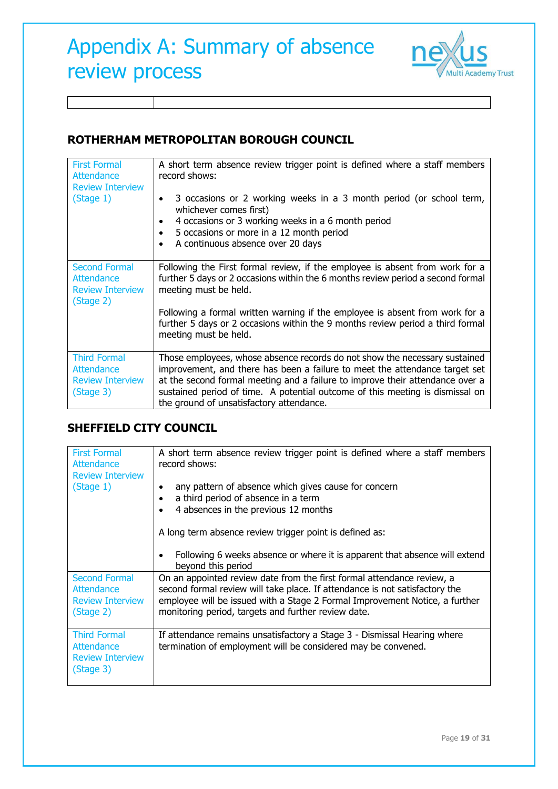

#### **ROTHERHAM METROPOLITAN BOROUGH COUNCIL**

| <b>First Formal</b><br>Attendance<br><b>Review Interview</b>               | A short term absence review trigger point is defined where a staff members<br>record shows:                                                                                                                                                                                                                                                                             |
|----------------------------------------------------------------------------|-------------------------------------------------------------------------------------------------------------------------------------------------------------------------------------------------------------------------------------------------------------------------------------------------------------------------------------------------------------------------|
| (Stage 1)                                                                  | 3 occasions or 2 working weeks in a 3 month period (or school term,<br>$\bullet$<br>whichever comes first)                                                                                                                                                                                                                                                              |
|                                                                            | 4 occasions or 3 working weeks in a 6 month period<br>$\bullet$<br>5 occasions or more in a 12 month period<br>$\bullet$<br>A continuous absence over 20 days<br>$\bullet$                                                                                                                                                                                              |
| <b>Second Formal</b><br>Attendance<br><b>Review Interview</b><br>(Stage 2) | Following the First formal review, if the employee is absent from work for a<br>further 5 days or 2 occasions within the 6 months review period a second formal<br>meeting must be held.                                                                                                                                                                                |
|                                                                            | Following a formal written warning if the employee is absent from work for a<br>further 5 days or 2 occasions within the 9 months review period a third formal<br>meeting must be held.                                                                                                                                                                                 |
| <b>Third Formal</b><br>Attendance<br><b>Review Interview</b><br>(Stage 3)  | Those employees, whose absence records do not show the necessary sustained<br>improvement, and there has been a failure to meet the attendance target set<br>at the second formal meeting and a failure to improve their attendance over a<br>sustained period of time. A potential outcome of this meeting is dismissal on<br>the ground of unsatisfactory attendance. |

#### **SHEFFIELD CITY COUNCIL**

| <b>First Formal</b><br>Attendance<br><b>Review Interview</b>               | A short term absence review trigger point is defined where a staff members<br>record shows:                                                                                                                                                                                                 |
|----------------------------------------------------------------------------|---------------------------------------------------------------------------------------------------------------------------------------------------------------------------------------------------------------------------------------------------------------------------------------------|
| (Stage 1)                                                                  | any pattern of absence which gives cause for concern<br>a third period of absence in a term<br>$\bullet$<br>4 absences in the previous 12 months                                                                                                                                            |
|                                                                            | A long term absence review trigger point is defined as:                                                                                                                                                                                                                                     |
|                                                                            | Following 6 weeks absence or where it is apparent that absence will extend<br>beyond this period                                                                                                                                                                                            |
| <b>Second Formal</b><br>Attendance<br><b>Review Interview</b><br>(Stage 2) | On an appointed review date from the first formal attendance review, a<br>second formal review will take place. If attendance is not satisfactory the<br>employee will be issued with a Stage 2 Formal Improvement Notice, a further<br>monitoring period, targets and further review date. |
| <b>Third Formal</b><br>Attendance<br><b>Review Interview</b><br>(Stage 3)  | If attendance remains unsatisfactory a Stage 3 - Dismissal Hearing where<br>termination of employment will be considered may be convened.                                                                                                                                                   |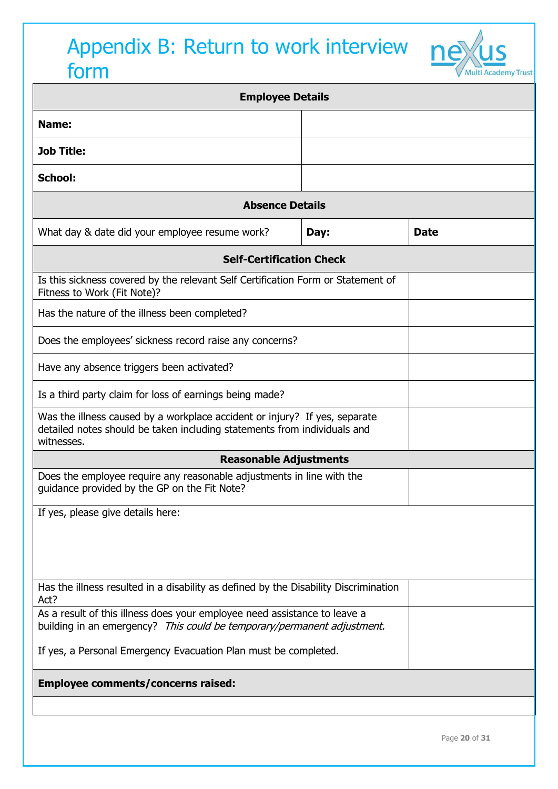# Appendix B: Return to work interview ne form



| <b>Employee Details</b>                                                                                                                                              |      |             |  |
|----------------------------------------------------------------------------------------------------------------------------------------------------------------------|------|-------------|--|
| Name:                                                                                                                                                                |      |             |  |
| <b>Job Title:</b>                                                                                                                                                    |      |             |  |
| <b>School:</b>                                                                                                                                                       |      |             |  |
| <b>Absence Details</b>                                                                                                                                               |      |             |  |
| What day & date did your employee resume work?                                                                                                                       | Day: | <b>Date</b> |  |
| <b>Self-Certification Check</b>                                                                                                                                      |      |             |  |
| Is this sickness covered by the relevant Self Certification Form or Statement of<br>Fitness to Work (Fit Note)?                                                      |      |             |  |
| Has the nature of the illness been completed?                                                                                                                        |      |             |  |
| Does the employees' sickness record raise any concerns?                                                                                                              |      |             |  |
| Have any absence triggers been activated?                                                                                                                            |      |             |  |
| Is a third party claim for loss of earnings being made?                                                                                                              |      |             |  |
| Was the illness caused by a workplace accident or injury? If yes, separate<br>detailed notes should be taken including statements from individuals and<br>witnesses. |      |             |  |
| <b>Reasonable Adjustments</b>                                                                                                                                        |      |             |  |
| Does the employee require any reasonable adjustments in line with the<br>guidance provided by the GP on the Fit Note?                                                |      |             |  |
| If yes, please give details here:                                                                                                                                    |      |             |  |
|                                                                                                                                                                      |      |             |  |
|                                                                                                                                                                      |      |             |  |
| Has the illness resulted in a disability as defined by the Disability Discrimination<br>Act?                                                                         |      |             |  |
| As a result of this illness does your employee need assistance to leave a<br>building in an emergency? This could be temporary/permanent adjustment.                 |      |             |  |
| If yes, a Personal Emergency Evacuation Plan must be completed.                                                                                                      |      |             |  |
| Employee comments/concerns raised:                                                                                                                                   |      |             |  |
|                                                                                                                                                                      |      |             |  |
|                                                                                                                                                                      |      |             |  |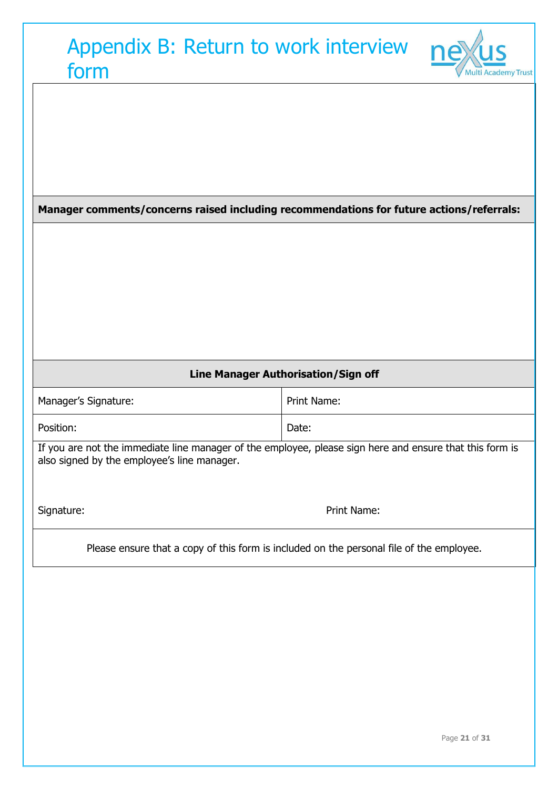| Appendix B: Return to work interview<br>form                                                                                                            | <b>Multi Academy Trust</b>                                                               |
|---------------------------------------------------------------------------------------------------------------------------------------------------------|------------------------------------------------------------------------------------------|
|                                                                                                                                                         |                                                                                          |
|                                                                                                                                                         |                                                                                          |
|                                                                                                                                                         | Manager comments/concerns raised including recommendations for future actions/referrals: |
|                                                                                                                                                         |                                                                                          |
|                                                                                                                                                         |                                                                                          |
|                                                                                                                                                         |                                                                                          |
|                                                                                                                                                         |                                                                                          |
|                                                                                                                                                         |                                                                                          |
| Line Manager Authorisation/Sign off                                                                                                                     |                                                                                          |
|                                                                                                                                                         |                                                                                          |
| Manager's Signature:                                                                                                                                    | <b>Print Name:</b>                                                                       |
| Position:                                                                                                                                               | Date:                                                                                    |
| If you are not the immediate line manager of the employee, please sign here and ensure that this form is<br>also signed by the employee's line manager. |                                                                                          |
| Signature:                                                                                                                                              | Print Name:                                                                              |
|                                                                                                                                                         | Please ensure that a copy of this form is included on the personal file of the employee. |
|                                                                                                                                                         |                                                                                          |
|                                                                                                                                                         |                                                                                          |
|                                                                                                                                                         |                                                                                          |
|                                                                                                                                                         |                                                                                          |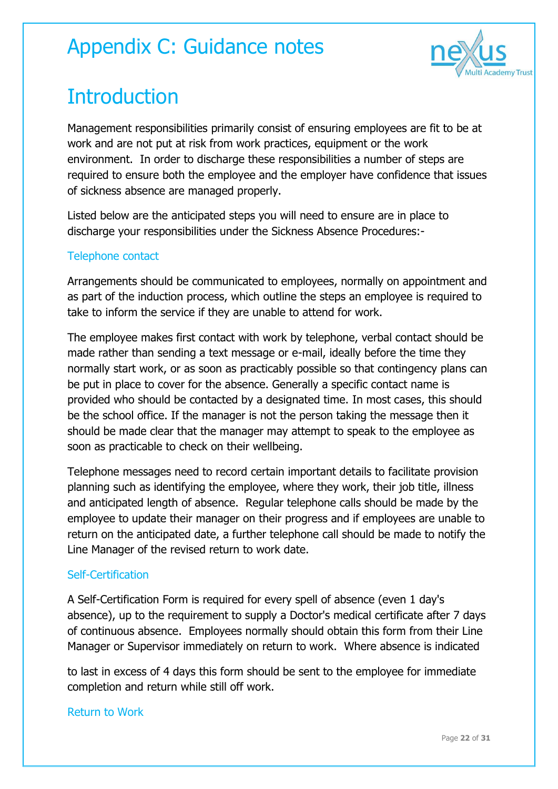

# **Introduction**

Management responsibilities primarily consist of ensuring employees are fit to be at work and are not put at risk from work practices, equipment or the work environment. In order to discharge these responsibilities a number of steps are required to ensure both the employee and the employer have confidence that issues of sickness absence are managed properly.

Listed below are the anticipated steps you will need to ensure are in place to discharge your responsibilities under the Sickness Absence Procedures:-

#### Telephone contact

Arrangements should be communicated to employees, normally on appointment and as part of the induction process, which outline the steps an employee is required to take to inform the service if they are unable to attend for work.

The employee makes first contact with work by telephone, verbal contact should be made rather than sending a text message or e-mail, ideally before the time they normally start work, or as soon as practicably possible so that contingency plans can be put in place to cover for the absence. Generally a specific contact name is provided who should be contacted by a designated time. In most cases, this should be the school office. If the manager is not the person taking the message then it should be made clear that the manager may attempt to speak to the employee as soon as practicable to check on their wellbeing.

Telephone messages need to record certain important details to facilitate provision planning such as identifying the employee, where they work, their job title, illness and anticipated length of absence. Regular telephone calls should be made by the employee to update their manager on their progress and if employees are unable to return on the anticipated date, a further telephone call should be made to notify the Line Manager of the revised return to work date.

#### Self-Certification

A Self-Certification Form is required for every spell of absence (even 1 day's absence), up to the requirement to supply a Doctor's medical certificate after 7 days of continuous absence. Employees normally should obtain this form from their Line Manager or Supervisor immediately on return to work. Where absence is indicated

to last in excess of 4 days this form should be sent to the employee for immediate completion and return while still off work.

#### Return to Work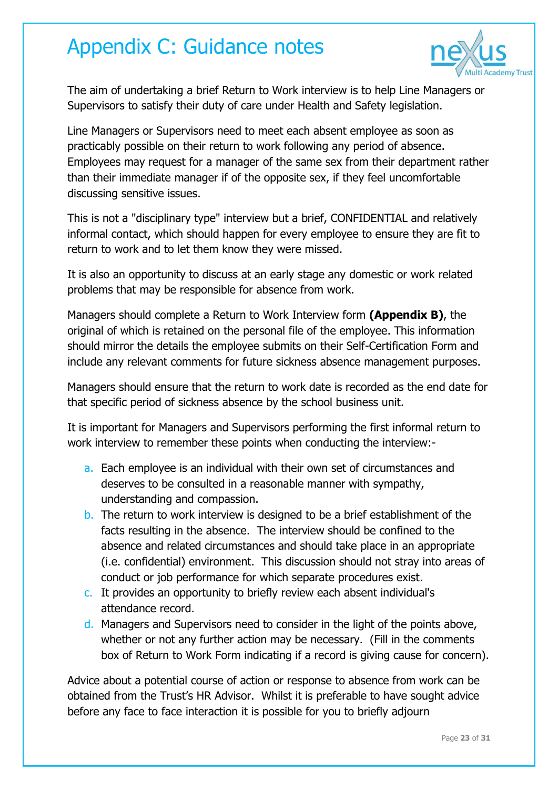

The aim of undertaking a brief Return to Work interview is to help Line Managers or Supervisors to satisfy their duty of care under Health and Safety legislation.

Line Managers or Supervisors need to meet each absent employee as soon as practicably possible on their return to work following any period of absence. Employees may request for a manager of the same sex from their department rather than their immediate manager if of the opposite sex, if they feel uncomfortable discussing sensitive issues.

This is not a "disciplinary type" interview but a brief, CONFIDENTIAL and relatively informal contact, which should happen for every employee to ensure they are fit to return to work and to let them know they were missed.

It is also an opportunity to discuss at an early stage any domestic or work related problems that may be responsible for absence from work.

Managers should complete a Return to Work Interview form **(Appendix B)**, the original of which is retained on the personal file of the employee. This information should mirror the details the employee submits on their Self-Certification Form and include any relevant comments for future sickness absence management purposes.

Managers should ensure that the return to work date is recorded as the end date for that specific period of sickness absence by the school business unit.

It is important for Managers and Supervisors performing the first informal return to work interview to remember these points when conducting the interview:-

- a. Each employee is an individual with their own set of circumstances and deserves to be consulted in a reasonable manner with sympathy, understanding and compassion.
- b. The return to work interview is designed to be a brief establishment of the facts resulting in the absence. The interview should be confined to the absence and related circumstances and should take place in an appropriate (i.e. confidential) environment. This discussion should not stray into areas of conduct or job performance for which separate procedures exist.
- c. It provides an opportunity to briefly review each absent individual's attendance record.
- d. Managers and Supervisors need to consider in the light of the points above, whether or not any further action may be necessary. (Fill in the comments box of Return to Work Form indicating if a record is giving cause for concern).

Advice about a potential course of action or response to absence from work can be obtained from the Trust's HR Advisor. Whilst it is preferable to have sought advice before any face to face interaction it is possible for you to briefly adjourn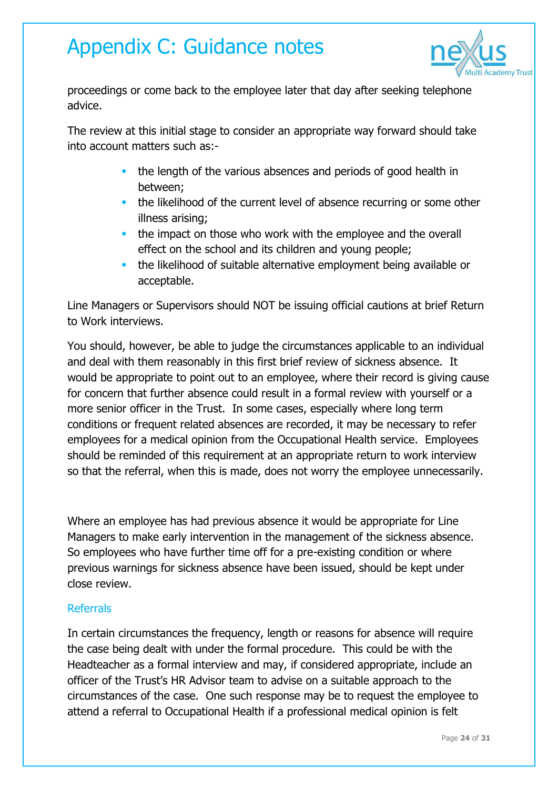

proceedings or come back to the employee later that day after seeking telephone advice.

The review at this initial stage to consider an appropriate way forward should take into account matters such as:-

- **the length of the various absences and periods of good health in** between;
- **the likelihood of the current level of absence recurring or some other** illness arising;
- the impact on those who work with the employee and the overall effect on the school and its children and young people;
- the likelihood of suitable alternative employment being available or acceptable.

Line Managers or Supervisors should NOT be issuing official cautions at brief Return to Work interviews.

You should, however, be able to judge the circumstances applicable to an individual and deal with them reasonably in this first brief review of sickness absence. It would be appropriate to point out to an employee, where their record is giving cause for concern that further absence could result in a formal review with yourself or a more senior officer in the Trust. In some cases, especially where long term conditions or frequent related absences are recorded, it may be necessary to refer employees for a medical opinion from the Occupational Health service. Employees should be reminded of this requirement at an appropriate return to work interview so that the referral, when this is made, does not worry the employee unnecessarily.

Where an employee has had previous absence it would be appropriate for Line Managers to make early intervention in the management of the sickness absence. So employees who have further time off for a pre-existing condition or where previous warnings for sickness absence have been issued, should be kept under close review.

#### Referrals

In certain circumstances the frequency, length or reasons for absence will require the case being dealt with under the formal procedure. This could be with the Headteacher as a formal interview and may, if considered appropriate, include an officer of the Trust's HR Advisor team to advise on a suitable approach to the circumstances of the case. One such response may be to request the employee to attend a referral to Occupational Health if a professional medical opinion is felt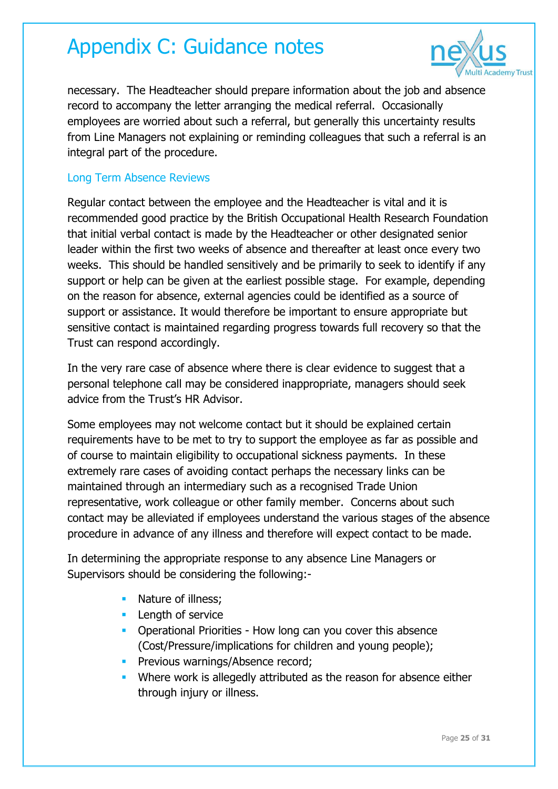

necessary. The Headteacher should prepare information about the job and absence record to accompany the letter arranging the medical referral. Occasionally employees are worried about such a referral, but generally this uncertainty results from Line Managers not explaining or reminding colleagues that such a referral is an integral part of the procedure.

#### Long Term Absence Reviews

Regular contact between the employee and the Headteacher is vital and it is recommended good practice by the British Occupational Health Research Foundation that initial verbal contact is made by the Headteacher or other designated senior leader within the first two weeks of absence and thereafter at least once every two weeks. This should be handled sensitively and be primarily to seek to identify if any support or help can be given at the earliest possible stage. For example, depending on the reason for absence, external agencies could be identified as a source of support or assistance. It would therefore be important to ensure appropriate but sensitive contact is maintained regarding progress towards full recovery so that the Trust can respond accordingly.

In the very rare case of absence where there is clear evidence to suggest that a personal telephone call may be considered inappropriate, managers should seek advice from the Trust's HR Advisor.

Some employees may not welcome contact but it should be explained certain requirements have to be met to try to support the employee as far as possible and of course to maintain eligibility to occupational sickness payments. In these extremely rare cases of avoiding contact perhaps the necessary links can be maintained through an intermediary such as a recognised Trade Union representative, work colleague or other family member. Concerns about such contact may be alleviated if employees understand the various stages of the absence procedure in advance of any illness and therefore will expect contact to be made.

In determining the appropriate response to any absence Line Managers or Supervisors should be considering the following:-

- Nature of illness;
- **Length of service**
- **Operational Priorities How long can you cover this absence** (Cost/Pressure/implications for children and young people);
- **Previous warnings/Absence record:**
- **Where work is allegedly attributed as the reason for absence either** through injury or illness.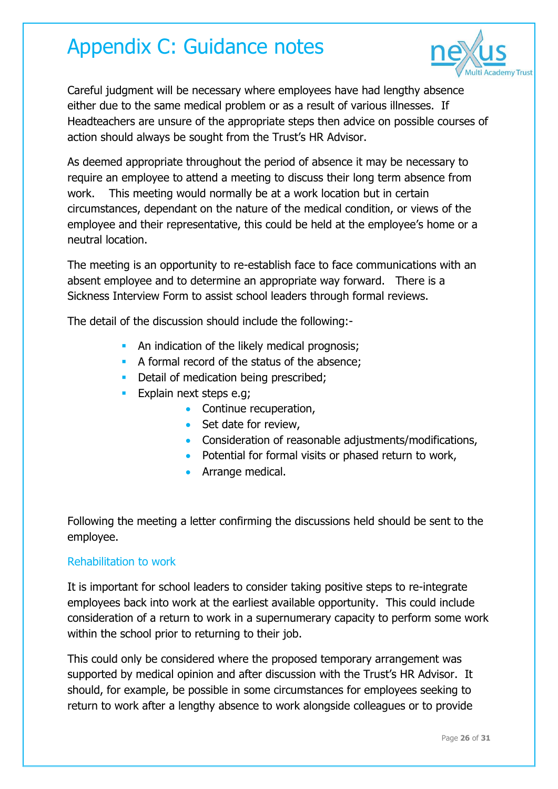

Careful judgment will be necessary where employees have had lengthy absence either due to the same medical problem or as a result of various illnesses. If Headteachers are unsure of the appropriate steps then advice on possible courses of action should always be sought from the Trust's HR Advisor.

As deemed appropriate throughout the period of absence it may be necessary to require an employee to attend a meeting to discuss their long term absence from work. This meeting would normally be at a work location but in certain circumstances, dependant on the nature of the medical condition, or views of the employee and their representative, this could be held at the employee's home or a neutral location.

The meeting is an opportunity to re-establish face to face communications with an absent employee and to determine an appropriate way forward. There is a Sickness Interview Form to assist school leaders through formal reviews.

The detail of the discussion should include the following:-

- An indication of the likely medical prognosis;
- A formal record of the status of the absence;
- Detail of medication being prescribed;
- **Explain next steps e.g;** 
	- Continue recuperation,
	- Set date for review,
	- Consideration of reasonable adjustments/modifications,
	- Potential for formal visits or phased return to work,
	- **Arrange medical.**

Following the meeting a letter confirming the discussions held should be sent to the employee.

#### Rehabilitation to work

It is important for school leaders to consider taking positive steps to re-integrate employees back into work at the earliest available opportunity. This could include consideration of a return to work in a supernumerary capacity to perform some work within the school prior to returning to their job.

This could only be considered where the proposed temporary arrangement was supported by medical opinion and after discussion with the Trust's HR Advisor. It should, for example, be possible in some circumstances for employees seeking to return to work after a lengthy absence to work alongside colleagues or to provide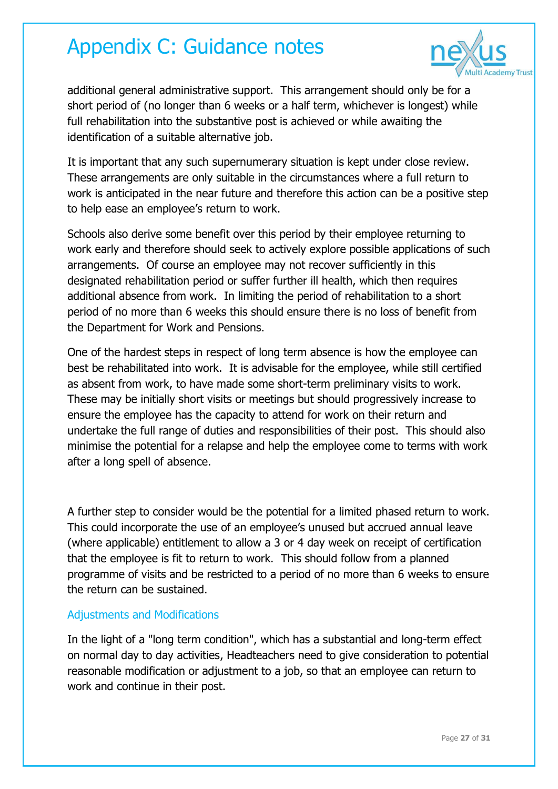

additional general administrative support. This arrangement should only be for a short period of (no longer than 6 weeks or a half term, whichever is longest) while full rehabilitation into the substantive post is achieved or while awaiting the identification of a suitable alternative job.

It is important that any such supernumerary situation is kept under close review. These arrangements are only suitable in the circumstances where a full return to work is anticipated in the near future and therefore this action can be a positive step to help ease an employee's return to work.

Schools also derive some benefit over this period by their employee returning to work early and therefore should seek to actively explore possible applications of such arrangements. Of course an employee may not recover sufficiently in this designated rehabilitation period or suffer further ill health, which then requires additional absence from work. In limiting the period of rehabilitation to a short period of no more than 6 weeks this should ensure there is no loss of benefit from the Department for Work and Pensions.

One of the hardest steps in respect of long term absence is how the employee can best be rehabilitated into work. It is advisable for the employee, while still certified as absent from work, to have made some short-term preliminary visits to work. These may be initially short visits or meetings but should progressively increase to ensure the employee has the capacity to attend for work on their return and undertake the full range of duties and responsibilities of their post. This should also minimise the potential for a relapse and help the employee come to terms with work after a long spell of absence.

A further step to consider would be the potential for a limited phased return to work. This could incorporate the use of an employee's unused but accrued annual leave (where applicable) entitlement to allow a 3 or 4 day week on receipt of certification that the employee is fit to return to work. This should follow from a planned programme of visits and be restricted to a period of no more than 6 weeks to ensure the return can be sustained.

#### Adjustments and Modifications

In the light of a "long term condition", which has a substantial and long-term effect on normal day to day activities, Headteachers need to give consideration to potential reasonable modification or adjustment to a job, so that an employee can return to work and continue in their post.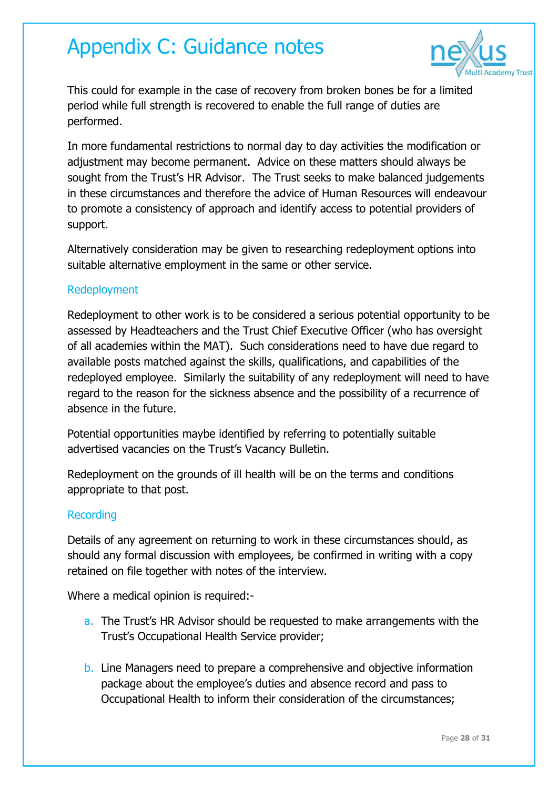

This could for example in the case of recovery from broken bones be for a limited period while full strength is recovered to enable the full range of duties are performed.

In more fundamental restrictions to normal day to day activities the modification or adjustment may become permanent. Advice on these matters should always be sought from the Trust's HR Advisor. The Trust seeks to make balanced judgements in these circumstances and therefore the advice of Human Resources will endeavour to promote a consistency of approach and identify access to potential providers of support.

Alternatively consideration may be given to researching redeployment options into suitable alternative employment in the same or other service.

#### Redeployment

Redeployment to other work is to be considered a serious potential opportunity to be assessed by Headteachers and the Trust Chief Executive Officer (who has oversight of all academies within the MAT). Such considerations need to have due regard to available posts matched against the skills, qualifications, and capabilities of the redeployed employee. Similarly the suitability of any redeployment will need to have regard to the reason for the sickness absence and the possibility of a recurrence of absence in the future.

Potential opportunities maybe identified by referring to potentially suitable advertised vacancies on the Trust's Vacancy Bulletin.

Redeployment on the grounds of ill health will be on the terms and conditions appropriate to that post.

#### Recording

Details of any agreement on returning to work in these circumstances should, as should any formal discussion with employees, be confirmed in writing with a copy retained on file together with notes of the interview.

Where a medical opinion is required:-

- a. The Trust's HR Advisor should be requested to make arrangements with the Trust's Occupational Health Service provider;
- b. Line Managers need to prepare a comprehensive and objective information package about the employee's duties and absence record and pass to Occupational Health to inform their consideration of the circumstances;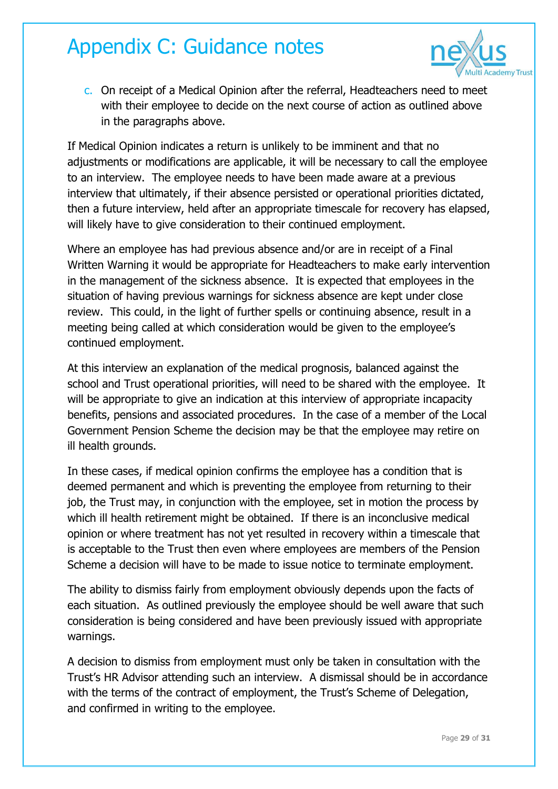

c. On receipt of a Medical Opinion after the referral, Headteachers need to meet with their employee to decide on the next course of action as outlined above in the paragraphs above.

If Medical Opinion indicates a return is unlikely to be imminent and that no adjustments or modifications are applicable, it will be necessary to call the employee to an interview. The employee needs to have been made aware at a previous interview that ultimately, if their absence persisted or operational priorities dictated, then a future interview, held after an appropriate timescale for recovery has elapsed, will likely have to give consideration to their continued employment.

Where an employee has had previous absence and/or are in receipt of a Final Written Warning it would be appropriate for Headteachers to make early intervention in the management of the sickness absence. It is expected that employees in the situation of having previous warnings for sickness absence are kept under close review. This could, in the light of further spells or continuing absence, result in a meeting being called at which consideration would be given to the employee's continued employment.

At this interview an explanation of the medical prognosis, balanced against the school and Trust operational priorities, will need to be shared with the employee. It will be appropriate to give an indication at this interview of appropriate incapacity benefits, pensions and associated procedures. In the case of a member of the Local Government Pension Scheme the decision may be that the employee may retire on ill health grounds.

In these cases, if medical opinion confirms the employee has a condition that is deemed permanent and which is preventing the employee from returning to their job, the Trust may, in conjunction with the employee, set in motion the process by which ill health retirement might be obtained. If there is an inconclusive medical opinion or where treatment has not yet resulted in recovery within a timescale that is acceptable to the Trust then even where employees are members of the Pension Scheme a decision will have to be made to issue notice to terminate employment.

The ability to dismiss fairly from employment obviously depends upon the facts of each situation. As outlined previously the employee should be well aware that such consideration is being considered and have been previously issued with appropriate warnings.

A decision to dismiss from employment must only be taken in consultation with the Trust's HR Advisor attending such an interview. A dismissal should be in accordance with the terms of the contract of employment, the Trust's Scheme of Delegation, and confirmed in writing to the employee.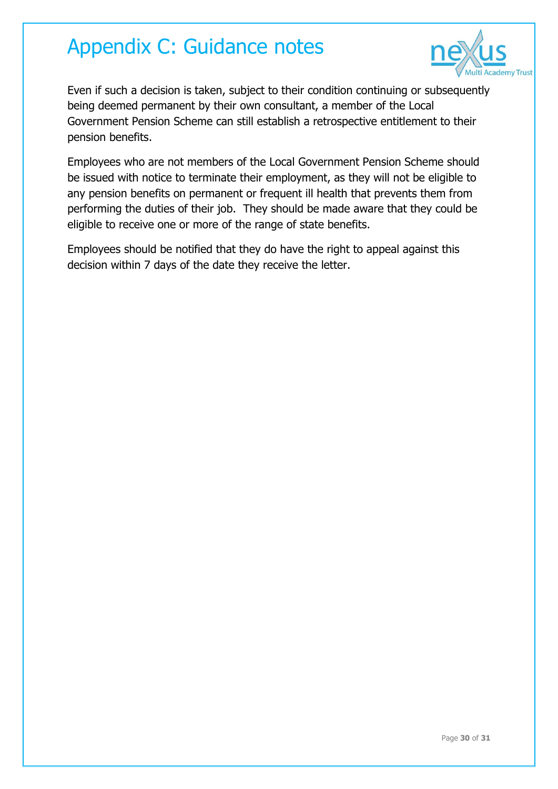

Even if such a decision is taken, subject to their condition continuing or subsequently being deemed permanent by their own consultant, a member of the Local Government Pension Scheme can still establish a retrospective entitlement to their pension benefits.

Employees who are not members of the Local Government Pension Scheme should be issued with notice to terminate their employment, as they will not be eligible to any pension benefits on permanent or frequent ill health that prevents them from performing the duties of their job. They should be made aware that they could be eligible to receive one or more of the range of state benefits.

Employees should be notified that they do have the right to appeal against this decision within 7 days of the date they receive the letter.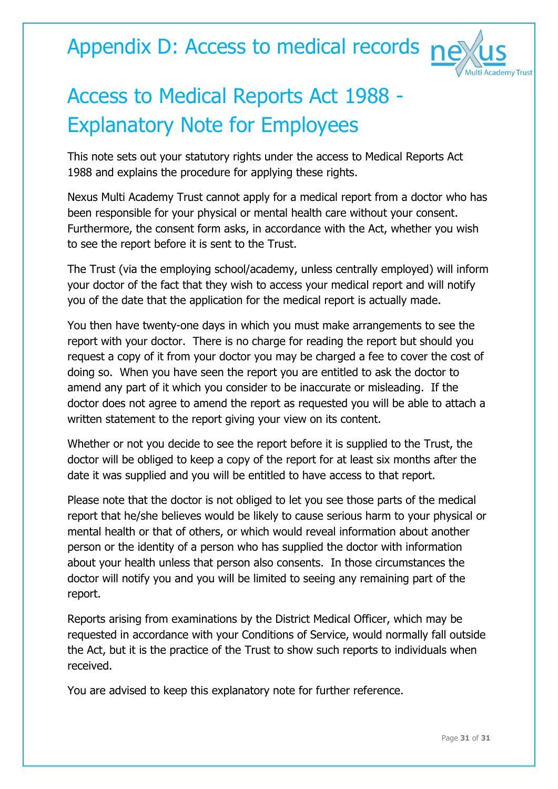Appendix D: Access to medical records ne



# Access to Medical Reports Act 1988 - Explanatory Note for Employees

This note sets out your statutory rights under the access to Medical Reports Act 1988 and explains the procedure for applying these rights.

Nexus Multi Academy Trust cannot apply for a medical report from a doctor who has been responsible for your physical or mental health care without your consent. Furthermore, the consent form asks, in accordance with the Act, whether you wish to see the report before it is sent to the Trust.

The Trust (via the employing school/academy, unless centrally employed) will inform your doctor of the fact that they wish to access your medical report and will notify you of the date that the application for the medical report is actually made.

You then have twenty-one days in which you must make arrangements to see the report with your doctor. There is no charge for reading the report but should you request a copy of it from your doctor you may be charged a fee to cover the cost of doing so. When you have seen the report you are entitled to ask the doctor to amend any part of it which you consider to be inaccurate or misleading. If the doctor does not agree to amend the report as requested you will be able to attach a written statement to the report giving your view on its content.

Whether or not you decide to see the report before it is supplied to the Trust, the doctor will be obliged to keep a copy of the report for at least six months after the date it was supplied and you will be entitled to have access to that report.

Please note that the doctor is not obliged to let you see those parts of the medical report that he/she believes would be likely to cause serious harm to your physical or mental health or that of others, or which would reveal information about another person or the identity of a person who has supplied the doctor with information about your health unless that person also consents. In those circumstances the doctor will notify you and you will be limited to seeing any remaining part of the report.

Reports arising from examinations by the District Medical Officer, which may be requested in accordance with your Conditions of Service, would normally fall outside the Act, but it is the practice of the Trust to show such reports to individuals when received.

You are advised to keep this explanatory note for further reference.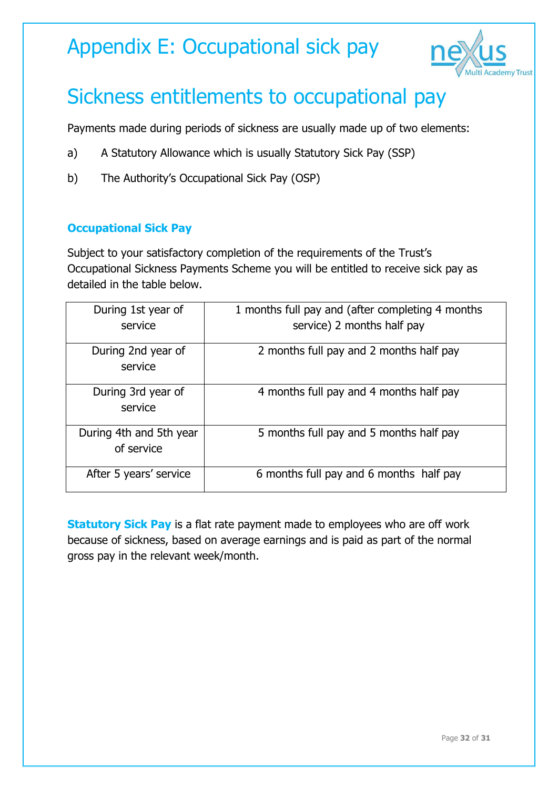### Appendix E: Occupational sick pay



# Sickness entitlements to occupational pay

Payments made during periods of sickness are usually made up of two elements:

- a) A Statutory Allowance which is usually Statutory Sick Pay (SSP)
- b) The Authority's Occupational Sick Pay (OSP)

#### **Occupational Sick Pay**

Subject to your satisfactory completion of the requirements of the Trust's Occupational Sickness Payments Scheme you will be entitled to receive sick pay as detailed in the table below.

| During 1st year of                    | 1 months full pay and (after completing 4 months |
|---------------------------------------|--------------------------------------------------|
| service                               | service) 2 months half pay                       |
| During 2nd year of<br>service         | 2 months full pay and 2 months half pay          |
| During 3rd year of<br>service         | 4 months full pay and 4 months half pay          |
| During 4th and 5th year<br>of service | 5 months full pay and 5 months half pay          |
| After 5 years' service                | 6 months full pay and 6 months half pay          |

**Statutory Sick Pay** is a flat rate payment made to employees who are off work because of sickness, based on average earnings and is paid as part of the normal gross pay in the relevant week/month.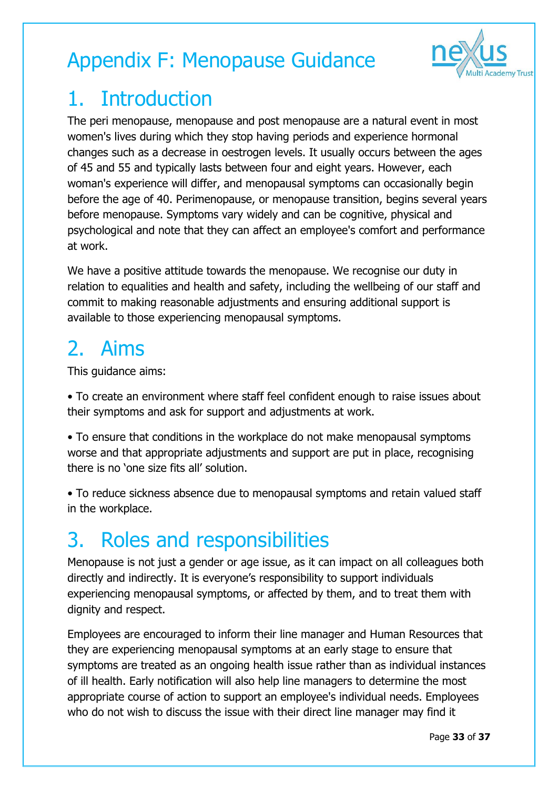

## 1. Introduction

The peri menopause, menopause and post menopause are a natural event in most women's lives during which they stop having periods and experience hormonal changes such as a decrease in oestrogen levels. It usually occurs between the ages of 45 and 55 and typically lasts between four and eight years. However, each woman's experience will differ, and menopausal symptoms can occasionally begin before the age of 40. Perimenopause, or menopause transition, begins several years before menopause. Symptoms vary widely and can be cognitive, physical and psychological and note that they can affect an employee's comfort and performance at work.

We have a positive attitude towards the menopause. We recognise our duty in relation to equalities and health and safety, including the wellbeing of our staff and commit to making reasonable adjustments and ensuring additional support is available to those experiencing menopausal symptoms.

# 2. Aims

This guidance aims:

• To create an environment where staff feel confident enough to raise issues about their symptoms and ask for support and adjustments at work.

• To ensure that conditions in the workplace do not make menopausal symptoms worse and that appropriate adjustments and support are put in place, recognising there is no 'one size fits all' solution.

• To reduce sickness absence due to menopausal symptoms and retain valued staff in the workplace.

## 3. Roles and responsibilities

Menopause is not just a gender or age issue, as it can impact on all colleagues both directly and indirectly. It is everyone's responsibility to support individuals experiencing menopausal symptoms, or affected by them, and to treat them with dignity and respect.

Employees are encouraged to inform their line manager and Human Resources that they are experiencing menopausal symptoms at an early stage to ensure that symptoms are treated as an ongoing health issue rather than as individual instances of ill health. Early notification will also help line managers to determine the most appropriate course of action to support an employee's individual needs. Employees who do not wish to discuss the issue with their direct line manager may find it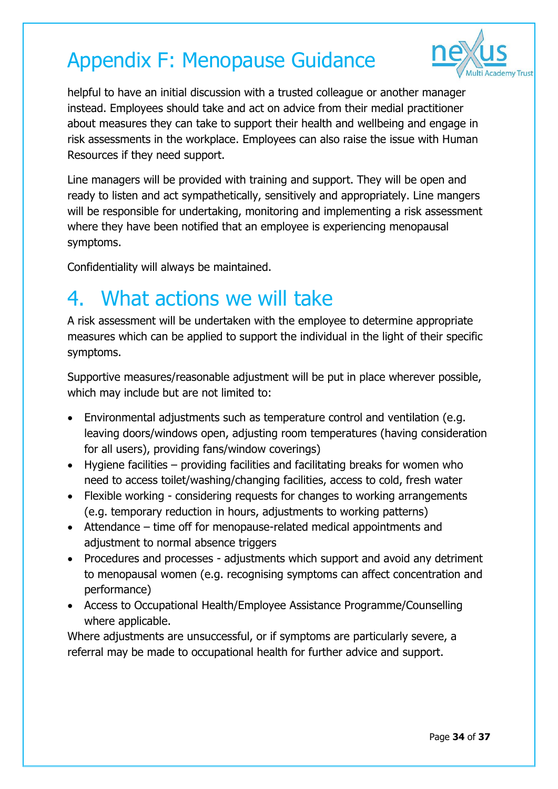

helpful to have an initial discussion with a trusted colleague or another manager instead. Employees should take and act on advice from their medial practitioner about measures they can take to support their health and wellbeing and engage in risk assessments in the workplace. Employees can also raise the issue with Human Resources if they need support.

Line managers will be provided with training and support. They will be open and ready to listen and act sympathetically, sensitively and appropriately. Line mangers will be responsible for undertaking, monitoring and implementing a risk assessment where they have been notified that an employee is experiencing menopausal symptoms.

Confidentiality will always be maintained.

### 4. What actions we will take

A risk assessment will be undertaken with the employee to determine appropriate measures which can be applied to support the individual in the light of their specific symptoms.

Supportive measures/reasonable adjustment will be put in place wherever possible, which may include but are not limited to:

- Environmental adjustments such as temperature control and ventilation (e.g. leaving doors/windows open, adjusting room temperatures (having consideration for all users), providing fans/window coverings)
- Hygiene facilities providing facilities and facilitating breaks for women who need to access toilet/washing/changing facilities, access to cold, fresh water
- Flexible working considering requests for changes to working arrangements (e.g. temporary reduction in hours, adjustments to working patterns)
- Attendance time off for menopause-related medical appointments and adjustment to normal absence triggers
- Procedures and processes adjustments which support and avoid any detriment to menopausal women (e.g. recognising symptoms can affect concentration and performance)
- Access to Occupational Health/Employee Assistance Programme/Counselling where applicable.

Where adjustments are unsuccessful, or if symptoms are particularly severe, a referral may be made to occupational health for further advice and support.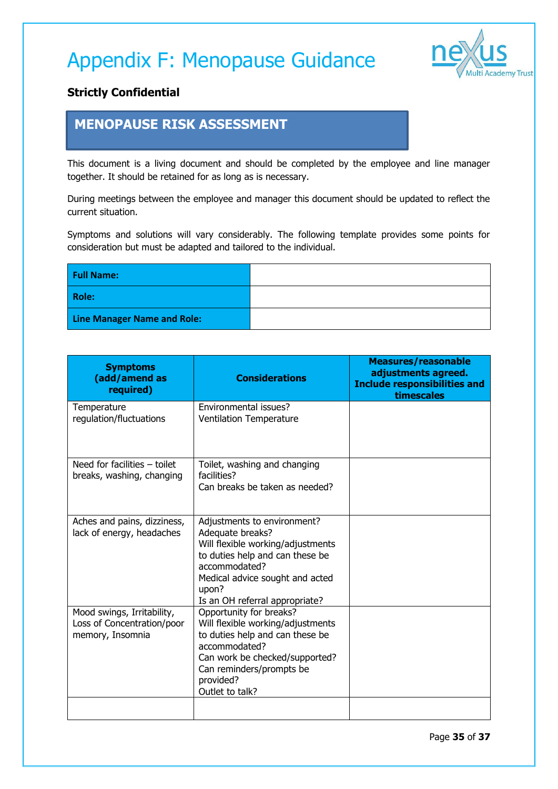

#### **Strictly Confidential**

#### **MENOPAUSE RISK ASSESSMENT**

This document is a living document and should be completed by the employee and line manager together. It should be retained for as long as is necessary.

During meetings between the employee and manager this document should be updated to reflect the current situation.

Symptoms and solutions will vary considerably. The following template provides some points for consideration but must be adapted and tailored to the individual.

| <b>Full Name:</b>                  |  |
|------------------------------------|--|
| Role:                              |  |
| <b>Line Manager Name and Role:</b> |  |

| <b>Symptoms</b><br>(add/amend as<br>required)                                | <b>Considerations</b>                                                                                                                                                                                                  | <b>Measures/reasonable</b><br>adjustments agreed.<br><b>Include responsibilities and</b><br>timescales |
|------------------------------------------------------------------------------|------------------------------------------------------------------------------------------------------------------------------------------------------------------------------------------------------------------------|--------------------------------------------------------------------------------------------------------|
| Temperature<br>regulation/fluctuations                                       | Environmental issues?<br><b>Ventilation Temperature</b>                                                                                                                                                                |                                                                                                        |
| Need for facilities - toilet<br>breaks, washing, changing                    | Toilet, washing and changing<br>facilities?<br>Can breaks be taken as needed?                                                                                                                                          |                                                                                                        |
| Aches and pains, dizziness,<br>lack of energy, headaches                     | Adjustments to environment?<br>Adequate breaks?<br>Will flexible working/adjustments<br>to duties help and can these be<br>accommodated?<br>Medical advice sought and acted<br>upon?<br>Is an OH referral appropriate? |                                                                                                        |
| Mood swings, Irritability,<br>Loss of Concentration/poor<br>memory, Insomnia | Opportunity for breaks?<br>Will flexible working/adjustments<br>to duties help and can these be<br>accommodated?<br>Can work be checked/supported?<br>Can reminders/prompts be<br>provided?<br>Outlet to talk?         |                                                                                                        |
|                                                                              |                                                                                                                                                                                                                        |                                                                                                        |